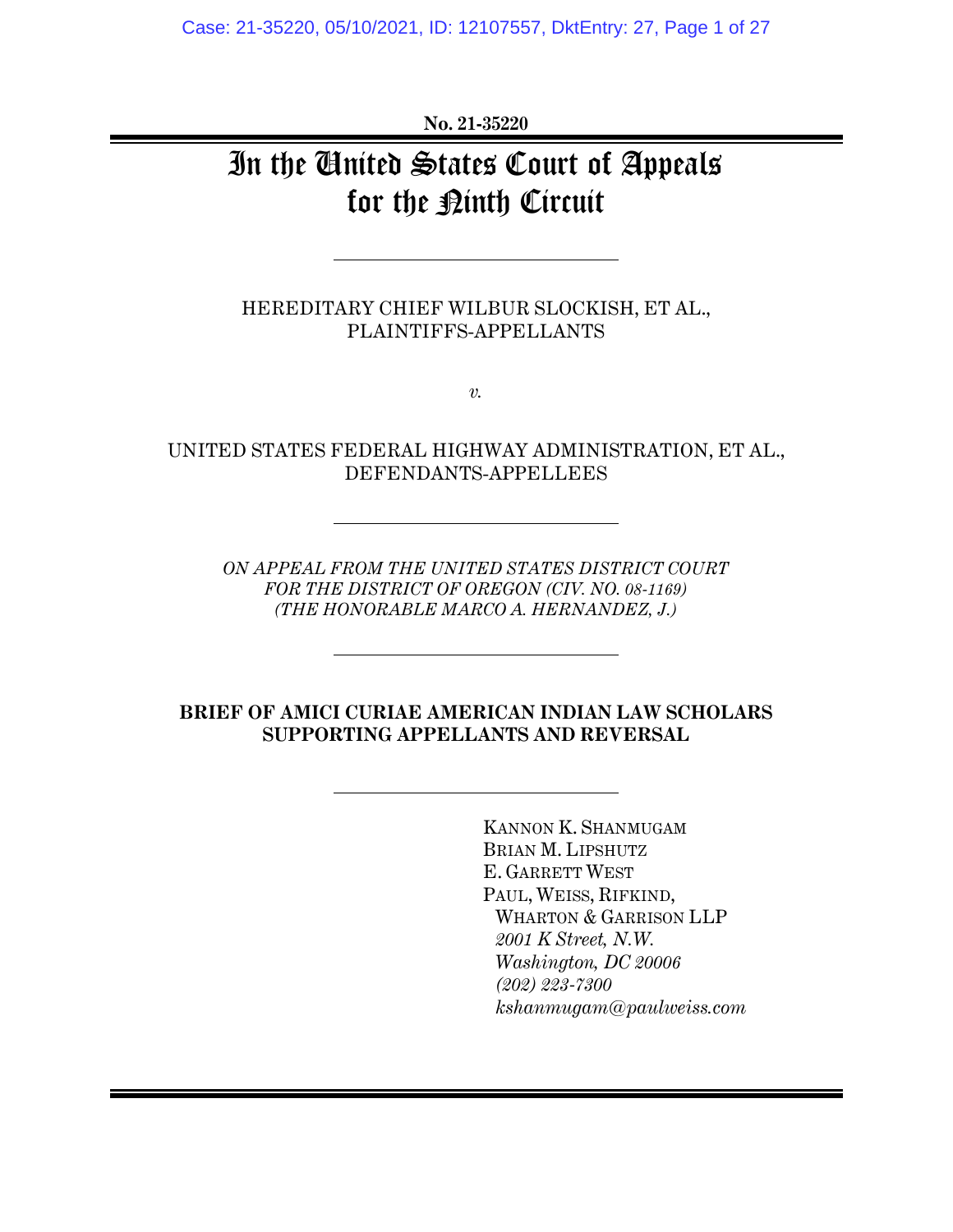**No. 21-35220**

# In the United States Court of Appeals for the <u>Pinth</u> Circuit

HEREDITARY CHIEF WILBUR SLOCKISH, ET AL., PLAINTIFFS-APPELLANTS

*v.*

UNITED STATES FEDERAL HIGHWAY ADMINISTRATION, ET AL., DEFENDANTS-APPELLEES

*ON APPEAL FROM THE UNITED STATES DISTRICT COURT FOR THE DISTRICT OF OREGON (CIV. NO. 08-1169) (THE HONORABLE MARCO A. HERNANDEZ, J.)*

#### **BRIEF OF AMICI CURIAE AMERICAN INDIAN LAW SCHOLARS SUPPORTING APPELLANTS AND REVERSAL**

KANNON K. SHANMUGAM BRIAN M. LIPSHUTZ E. GARRETT WEST PAUL, WEISS, RIFKIND, WHARTON & GARRISON LLP *2001 K Street, N.W. Washington, DC 20006 (202) 223-7300 kshanmugam@paulweiss.com*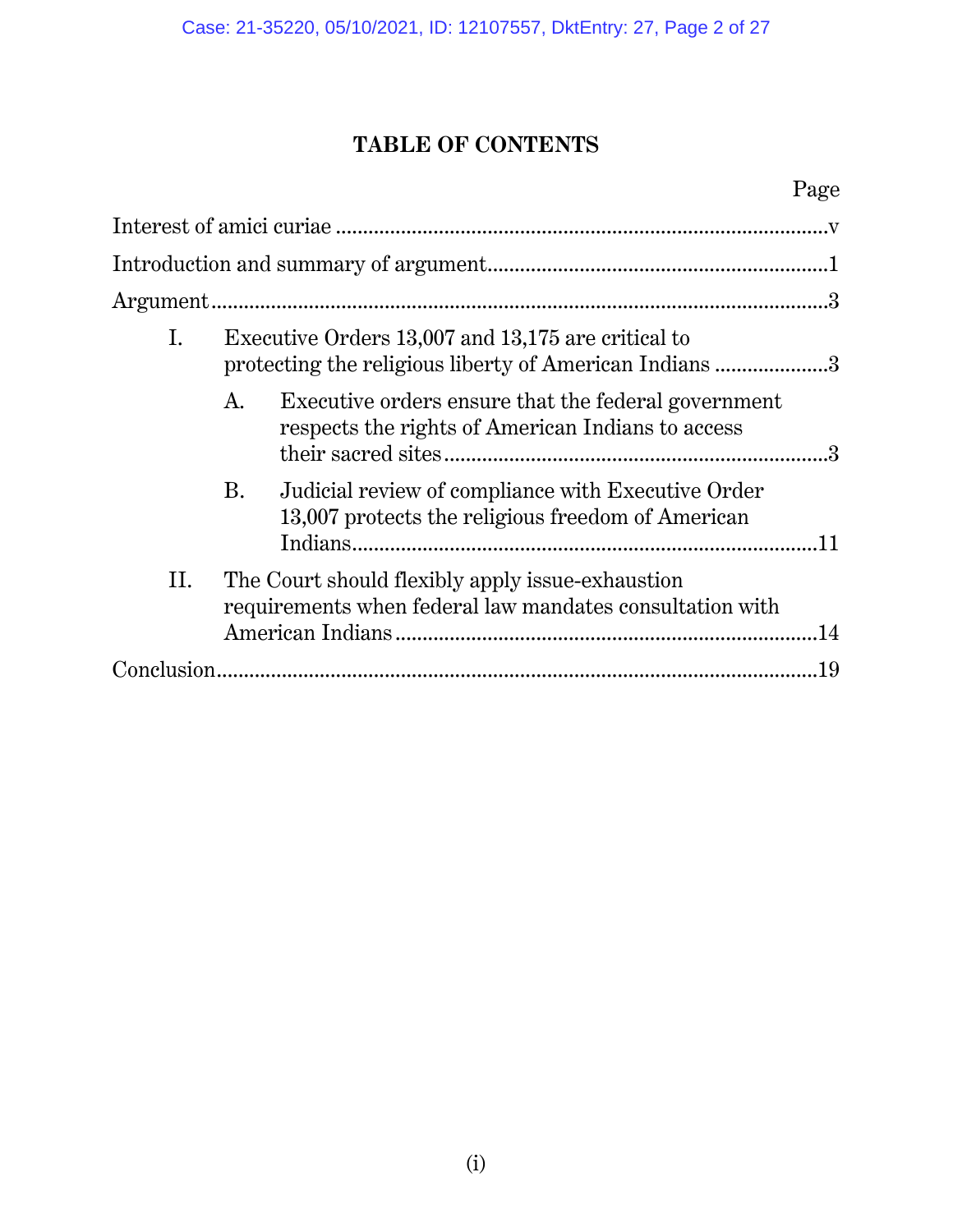## **TABLE OF CONTENTS**

## Page

| Ι.  | Executive Orders 13,007 and 13,175 are critical to<br>protecting the religious liberty of American Indians 3 |                                                                                                          |     |
|-----|--------------------------------------------------------------------------------------------------------------|----------------------------------------------------------------------------------------------------------|-----|
|     | A.                                                                                                           | Executive orders ensure that the federal government<br>respects the rights of American Indians to access |     |
|     | B.                                                                                                           | Judicial review of compliance with Executive Order<br>13,007 protects the religious freedom of American  |     |
| II. | The Court should flexibly apply issue-exhaustion<br>requirements when federal law mandates consultation with |                                                                                                          |     |
|     |                                                                                                              |                                                                                                          |     |
|     |                                                                                                              |                                                                                                          | .19 |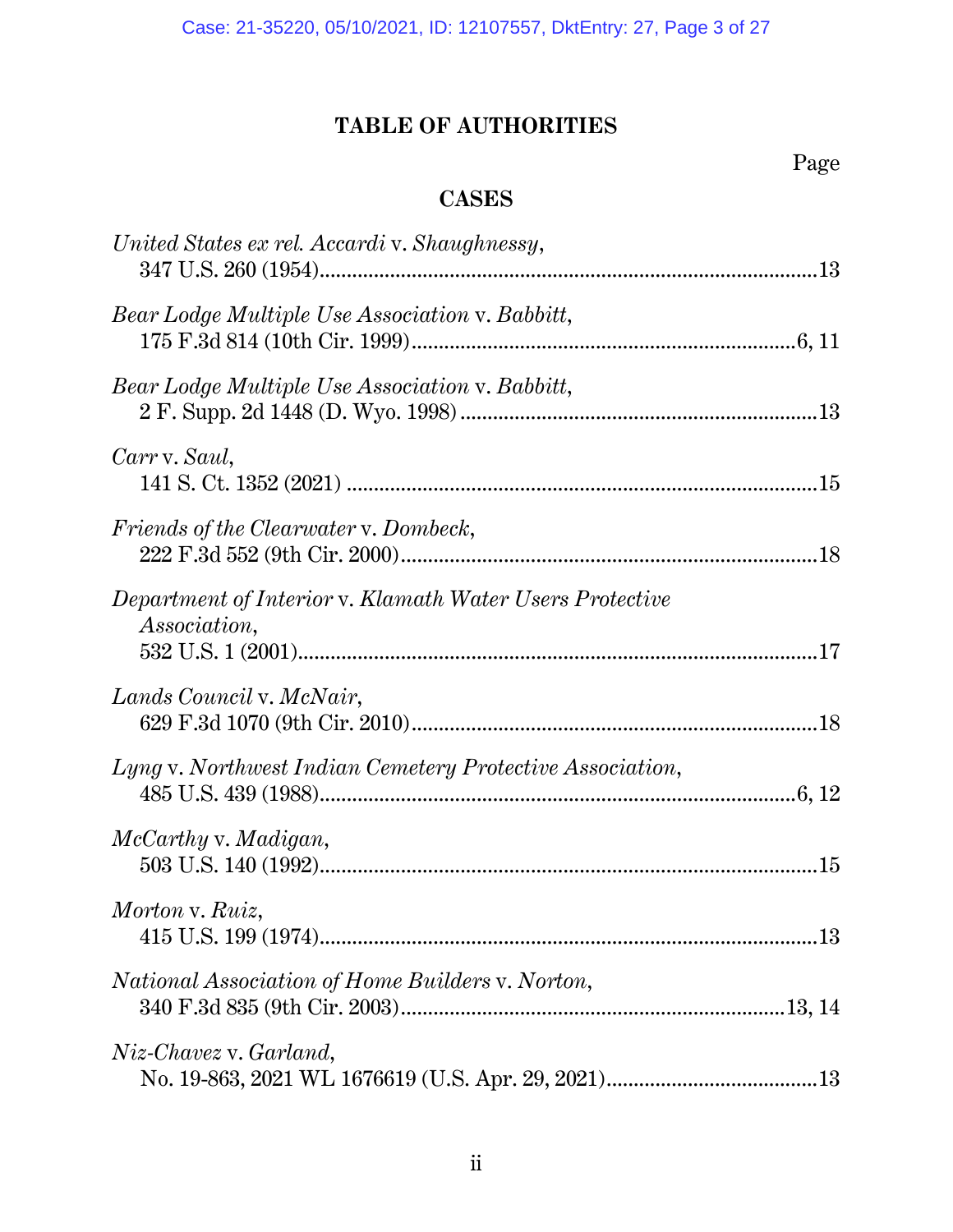## **TABLE OF AUTHORITIES**

## Page

## **CASES**

| United States ex rel. Accardi v. Shaughnessy,                                   |  |
|---------------------------------------------------------------------------------|--|
| Bear Lodge Multiple Use Association v. Babbitt,                                 |  |
| Bear Lodge Multiple Use Association v. Babbitt,                                 |  |
| Carr v. Saul,                                                                   |  |
| Friends of the Clearwater v. Dombeck,                                           |  |
| Department of Interior v. Klamath Water Users Protective<br><i>Association,</i> |  |
| Lands Council v. McNair,                                                        |  |
| Lyng v. Northwest Indian Cemetery Protective Association,                       |  |
| McCarthy v. Madigan,                                                            |  |
| Morton v. Ruiz,                                                                 |  |
| National Association of Home Builders v. Norton,                                |  |
| Niz-Chavez v. Garland,                                                          |  |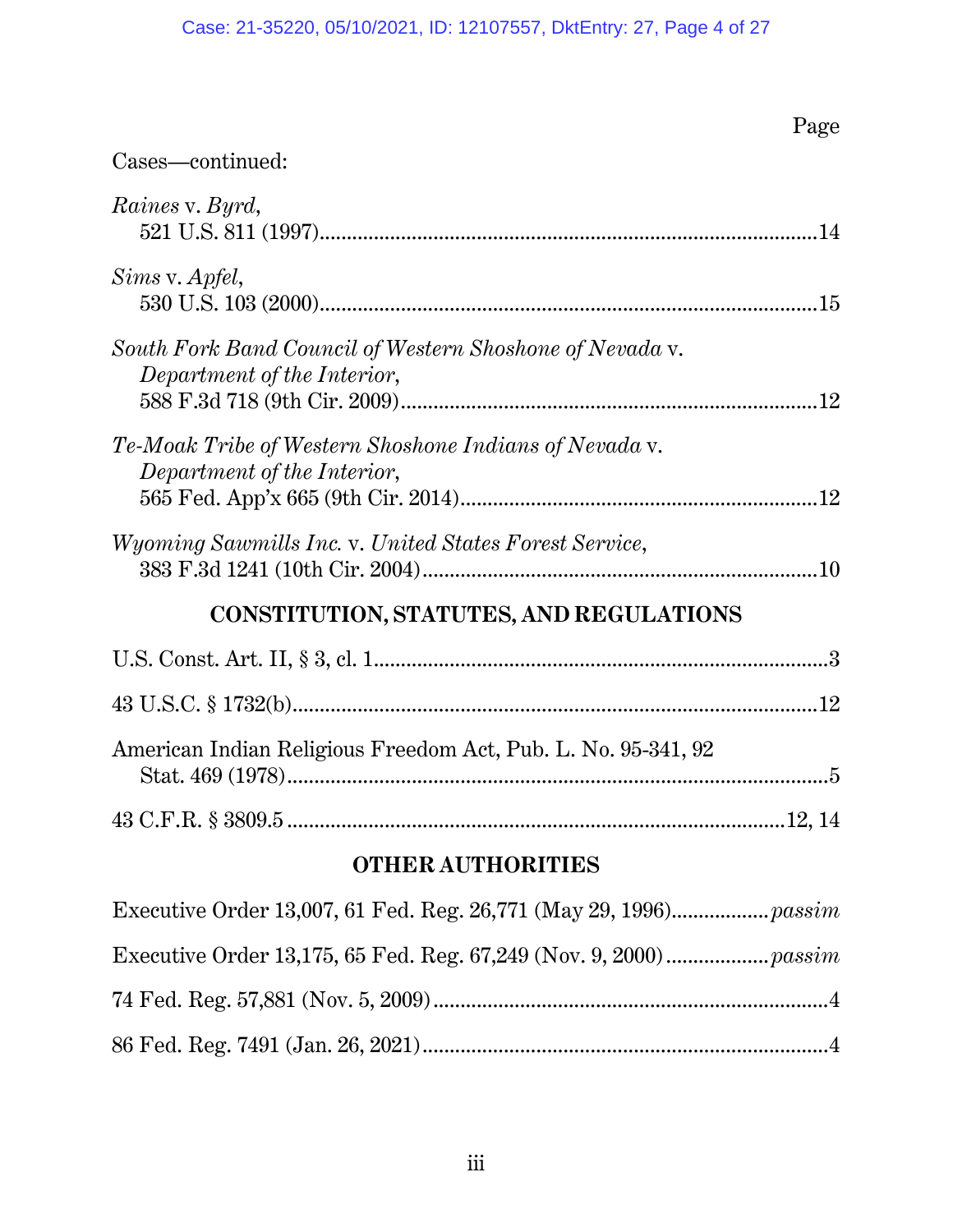## Case: 21-35220, 05/10/2021, ID: 12107557, DktEntry: 27, Page 4 of 27

|                                                                                         | Page |  |  |  |
|-----------------------------------------------------------------------------------------|------|--|--|--|
| Cases—continued:                                                                        |      |  |  |  |
| Raines v. Byrd,                                                                         |      |  |  |  |
| Sims v. Apfel,                                                                          |      |  |  |  |
| South Fork Band Council of Western Shoshone of Nevada v.<br>Department of the Interior, |      |  |  |  |
| Te-Moak Tribe of Western Shoshone Indians of Nevada v.<br>Department of the Interior,   |      |  |  |  |
| <i>Wyoming Sawmills Inc. v. United States Forest Service,</i>                           |      |  |  |  |
| <b>CONSTITUTION, STATUTES, AND REGULATIONS</b>                                          |      |  |  |  |
|                                                                                         |      |  |  |  |
|                                                                                         |      |  |  |  |
| American Indian Religious Freedom Act, Pub. L. No. 95-341, 92                           |      |  |  |  |
|                                                                                         |      |  |  |  |
| <b>OTHER AUTHORITIES</b>                                                                |      |  |  |  |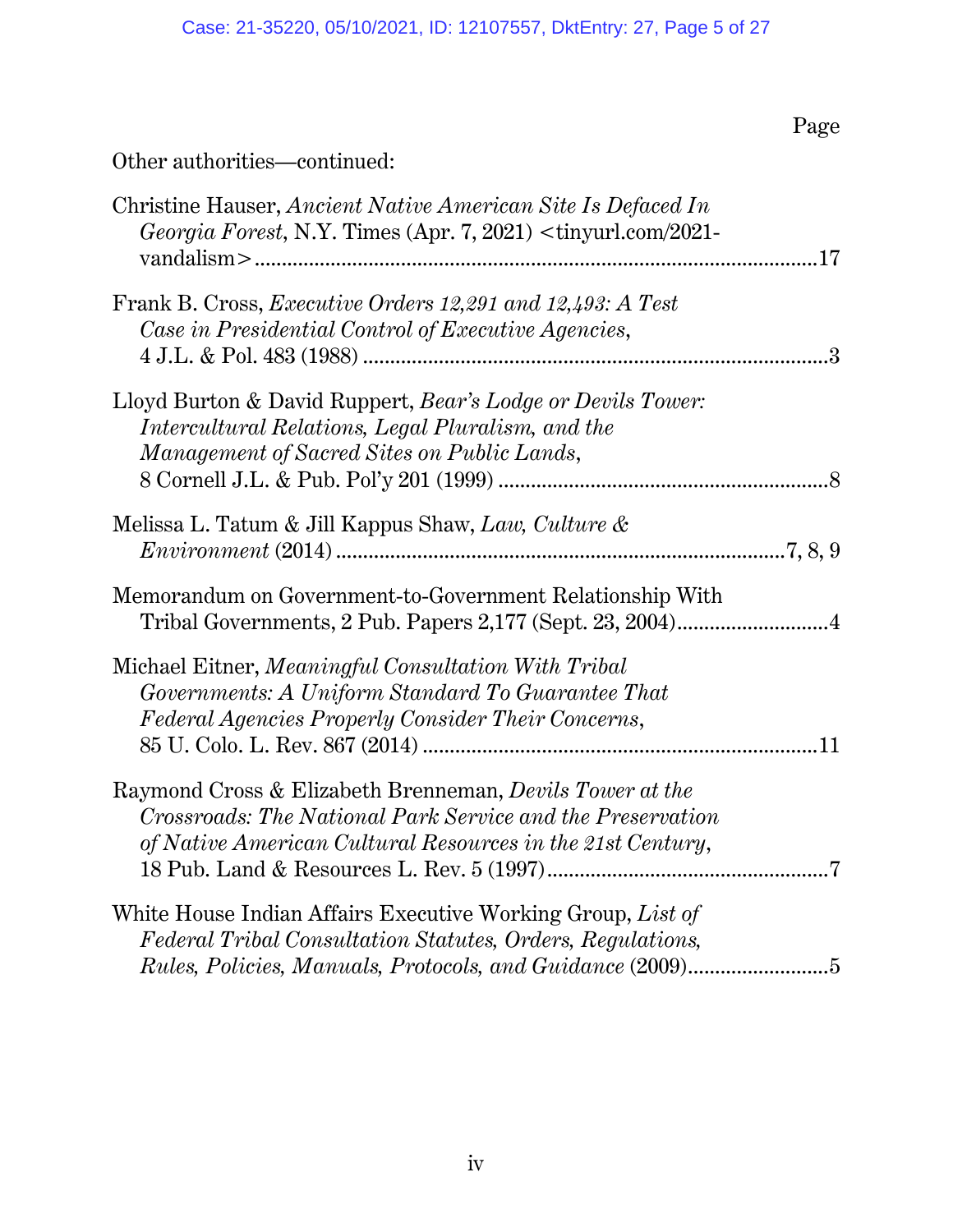Page

## Other authorities—continued:

| Christine Hauser, Ancient Native American Site Is Defaced In<br>Georgia Forest, N.Y. Times (Apr. 7, 2021) <tinyurl.com 2021-<="" th=""><th></th></tinyurl.com>                       |               |
|--------------------------------------------------------------------------------------------------------------------------------------------------------------------------------------|---------------|
| Frank B. Cross, <i>Executive Orders 12,291 and 12,493: A Test</i><br>Case in Presidential Control of Executive Agencies,                                                             | $\mathcal{S}$ |
| Lloyd Burton & David Ruppert, Bear's Lodge or Devils Tower:<br>Intercultural Relations, Legal Pluralism, and the<br>Management of Sacred Sites on Public Lands,                      |               |
| Melissa L. Tatum & Jill Kappus Shaw, Law, Culture &<br>$Environment (2014) \dots 1000$                                                                                               |               |
| Memorandum on Government-to-Government Relationship With<br>Tribal Governments, 2 Pub. Papers 2,177 (Sept. 23, 2004)4                                                                |               |
| Michael Eitner, Meaningful Consultation With Tribal<br>Governments: A Uniform Standard To Guarantee That<br>Federal Agencies Properly Consider Their Concerns,                       |               |
| Raymond Cross & Elizabeth Brenneman, Devils Tower at the<br>Crossroads: The National Park Service and the Preservation<br>of Native American Cultural Resources in the 21st Century, |               |
| White House Indian Affairs Executive Working Group, List of<br>Federal Tribal Consultation Statutes, Orders, Regulations,                                                            |               |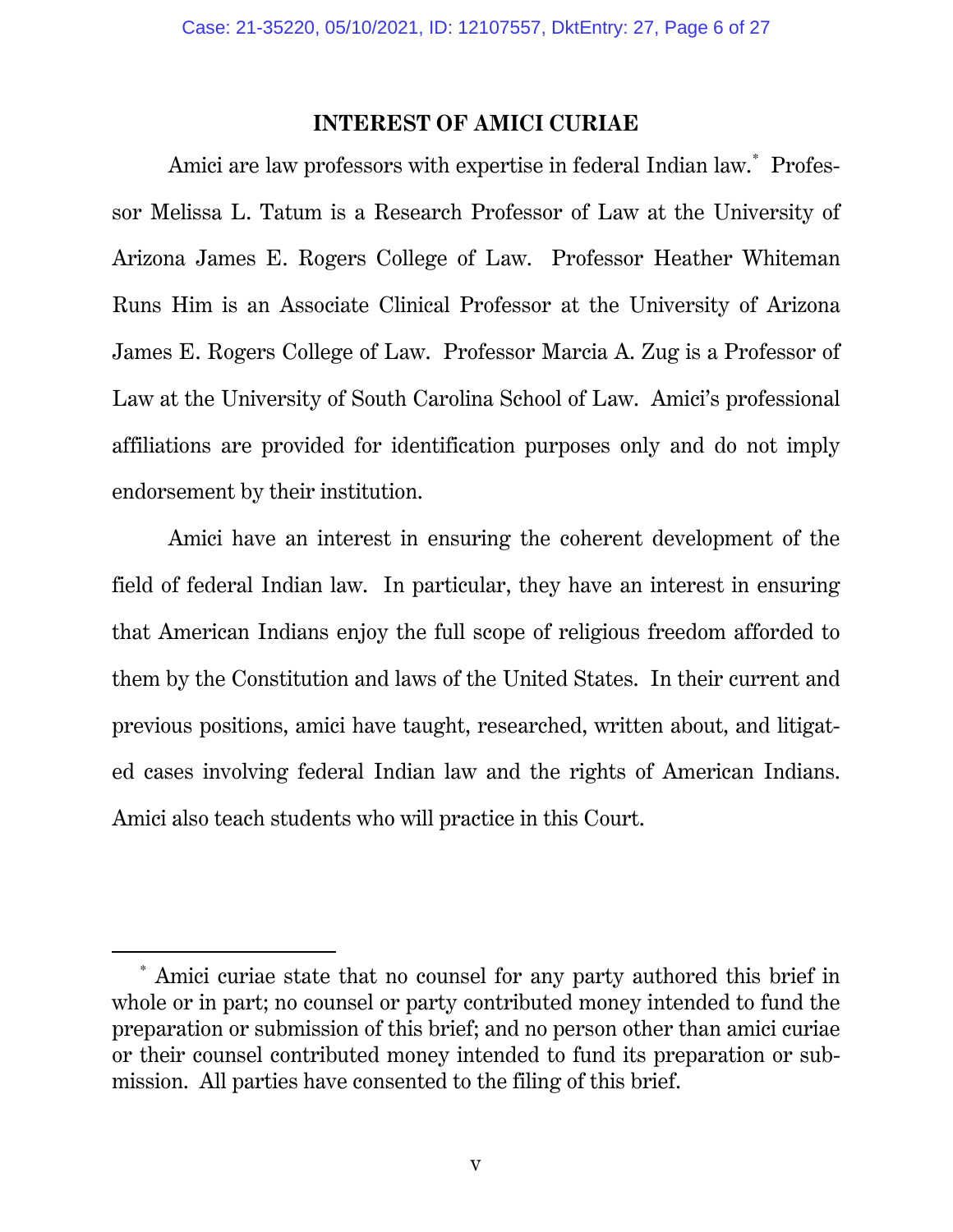### **INTEREST OF AMICI CURIAE**

Amici are law professors with expertise in federal Indian law.[\\*](#page-5-0) Professor Melissa L. Tatum is a Research Professor of Law at the University of Arizona James E. Rogers College of Law. Professor Heather Whiteman Runs Him is an Associate Clinical Professor at the University of Arizona James E. Rogers College of Law. Professor Marcia A. Zug is a Professor of Law at the University of South Carolina School of Law. Amici's professional affiliations are provided for identification purposes only and do not imply endorsement by their institution.

Amici have an interest in ensuring the coherent development of the field of federal Indian law. In particular, they have an interest in ensuring that American Indians enjoy the full scope of religious freedom afforded to them by the Constitution and laws of the United States. In their current and previous positions, amici have taught, researched, written about, and litigated cases involving federal Indian law and the rights of American Indians. Amici also teach students who will practice in this Court.

<span id="page-5-0"></span> <sup>\*</sup> Amici curiae state that no counsel for any party authored this brief in whole or in part; no counsel or party contributed money intended to fund the preparation or submission of this brief; and no person other than amici curiae or their counsel contributed money intended to fund its preparation or submission. All parties have consented to the filing of this brief.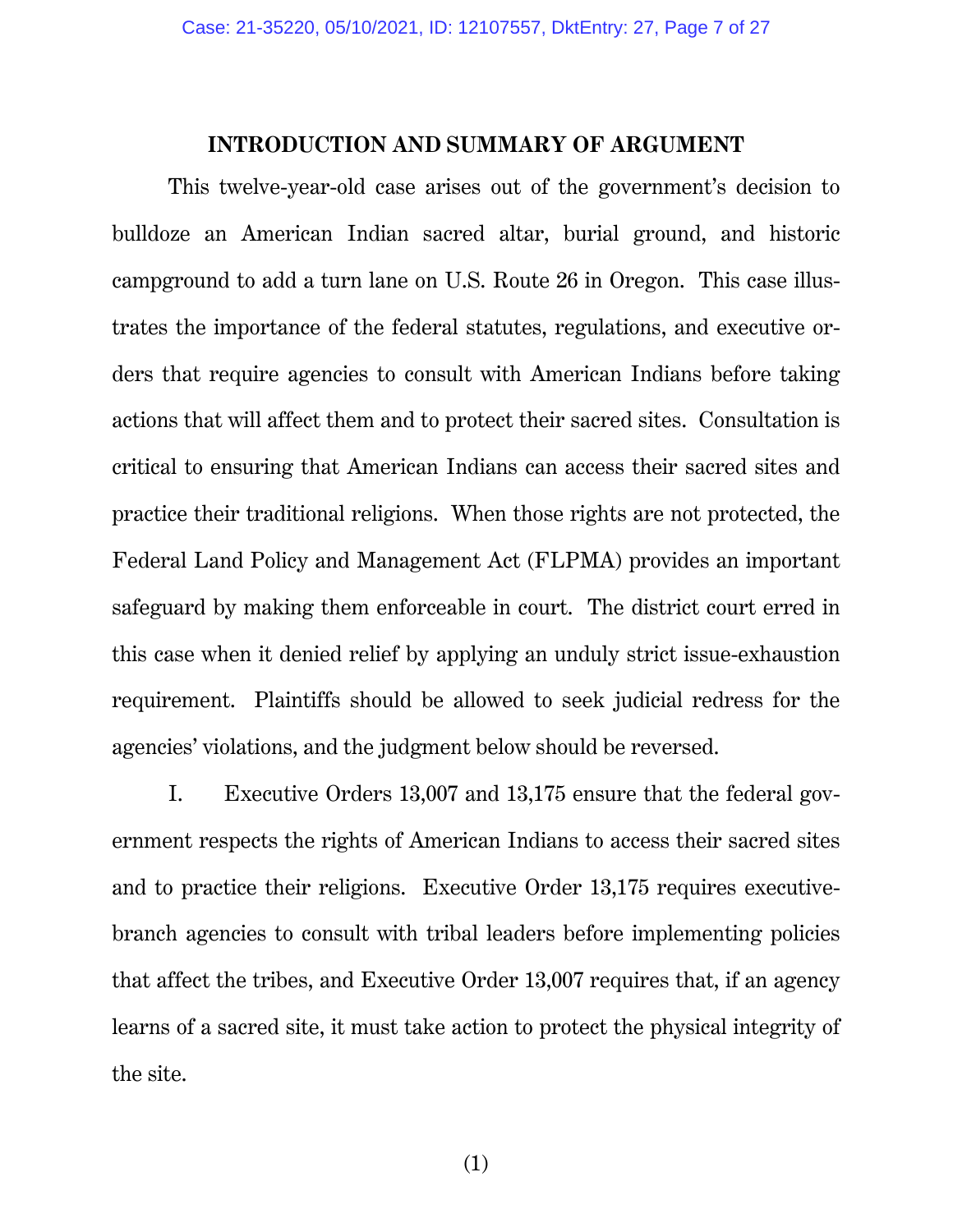#### **INTRODUCTION AND SUMMARY OF ARGUMENT**

This twelve-year-old case arises out of the government's decision to bulldoze an American Indian sacred altar, burial ground, and historic campground to add a turn lane on U.S. Route 26 in Oregon. This case illustrates the importance of the federal statutes, regulations, and executive orders that require agencies to consult with American Indians before taking actions that will affect them and to protect their sacred sites. Consultation is critical to ensuring that American Indians can access their sacred sites and practice their traditional religions. When those rights are not protected, the Federal Land Policy and Management Act (FLPMA) provides an important safeguard by making them enforceable in court. The district court erred in this case when it denied relief by applying an unduly strict issue-exhaustion requirement. Plaintiffs should be allowed to seek judicial redress for the agencies' violations, and the judgment below should be reversed.

I. Executive Orders 13,007 and 13,175 ensure that the federal government respects the rights of American Indians to access their sacred sites and to practice their religions. Executive Order 13,175 requires executivebranch agencies to consult with tribal leaders before implementing policies that affect the tribes, and Executive Order 13,007 requires that, if an agency learns of a sacred site, it must take action to protect the physical integrity of the site.

(1)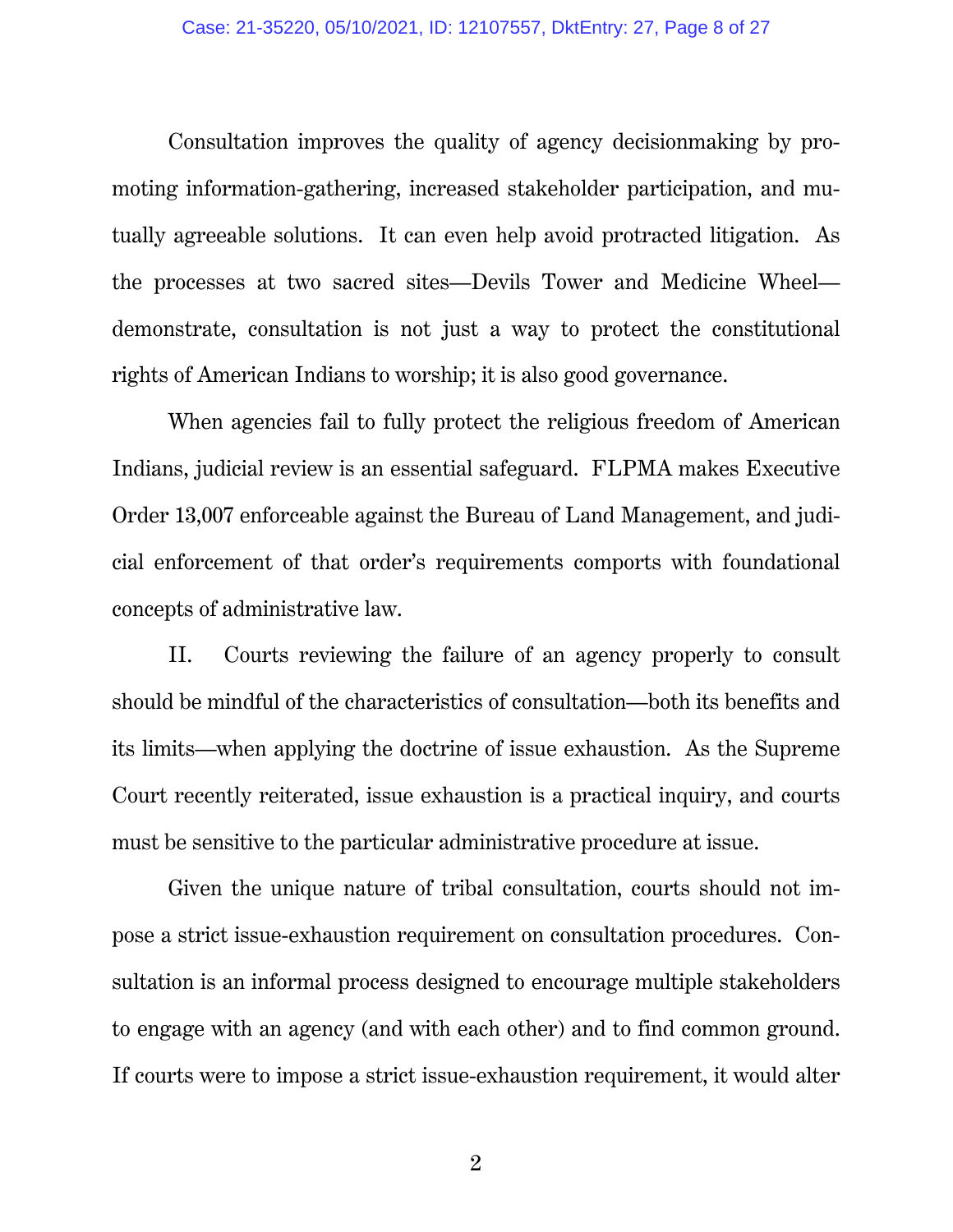Consultation improves the quality of agency decisionmaking by promoting information-gathering, increased stakeholder participation, and mutually agreeable solutions. It can even help avoid protracted litigation. As the processes at two sacred sites—Devils Tower and Medicine Wheel demonstrate, consultation is not just a way to protect the constitutional rights of American Indians to worship; it is also good governance.

When agencies fail to fully protect the religious freedom of American Indians, judicial review is an essential safeguard. FLPMA makes Executive Order 13,007 enforceable against the Bureau of Land Management, and judicial enforcement of that order's requirements comports with foundational concepts of administrative law.

II. Courts reviewing the failure of an agency properly to consult should be mindful of the characteristics of consultation—both its benefits and its limits—when applying the doctrine of issue exhaustion. As the Supreme Court recently reiterated, issue exhaustion is a practical inquiry, and courts must be sensitive to the particular administrative procedure at issue.

Given the unique nature of tribal consultation, courts should not impose a strict issue-exhaustion requirement on consultation procedures. Consultation is an informal process designed to encourage multiple stakeholders to engage with an agency (and with each other) and to find common ground. If courts were to impose a strict issue-exhaustion requirement, it would alter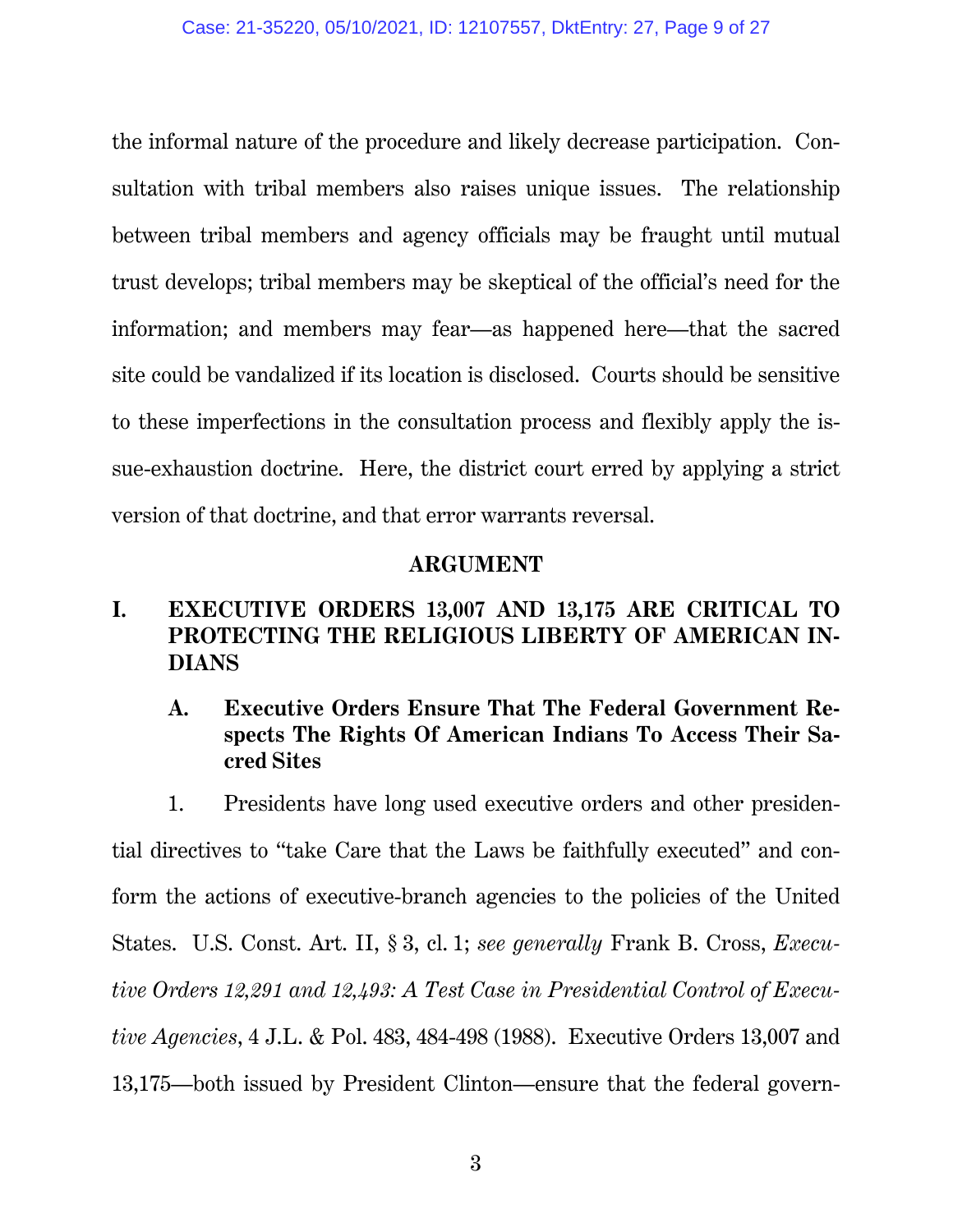the informal nature of the procedure and likely decrease participation. Consultation with tribal members also raises unique issues. The relationship between tribal members and agency officials may be fraught until mutual trust develops; tribal members may be skeptical of the official's need for the information; and members may fear—as happened here—that the sacred site could be vandalized if its location is disclosed. Courts should be sensitive to these imperfections in the consultation process and flexibly apply the issue-exhaustion doctrine. Here, the district court erred by applying a strict version of that doctrine, and that error warrants reversal.

### <span id="page-8-1"></span>**ARGUMENT**

### **I. EXECUTIVE ORDERS 13,007 AND 13,175 ARE CRITICAL TO PROTECTING THE RELIGIOUS LIBERTY OF AMERICAN IN-DIANS**

**A. Executive Orders Ensure That The Federal Government Respects The Rights Of American Indians To Access Their Sacred Sites** 

<span id="page-8-0"></span>1. Presidents have long used executive orders and other presidential directives to "take Care that the Laws be faithfully executed" and conform the actions of executive-branch agencies to the policies of the United States. U.S. Const. Art. II, § 3, cl. 1; *see generally* Frank B. Cross, *Executive Orders 12,291 and 12,493: A Test Case in Presidential Control of Executive Agencies*, 4 J.L. & Pol. 483, 484-498 (1988). Executive Orders 13,007 and 13,175—both issued by President Clinton—ensure that the federal govern-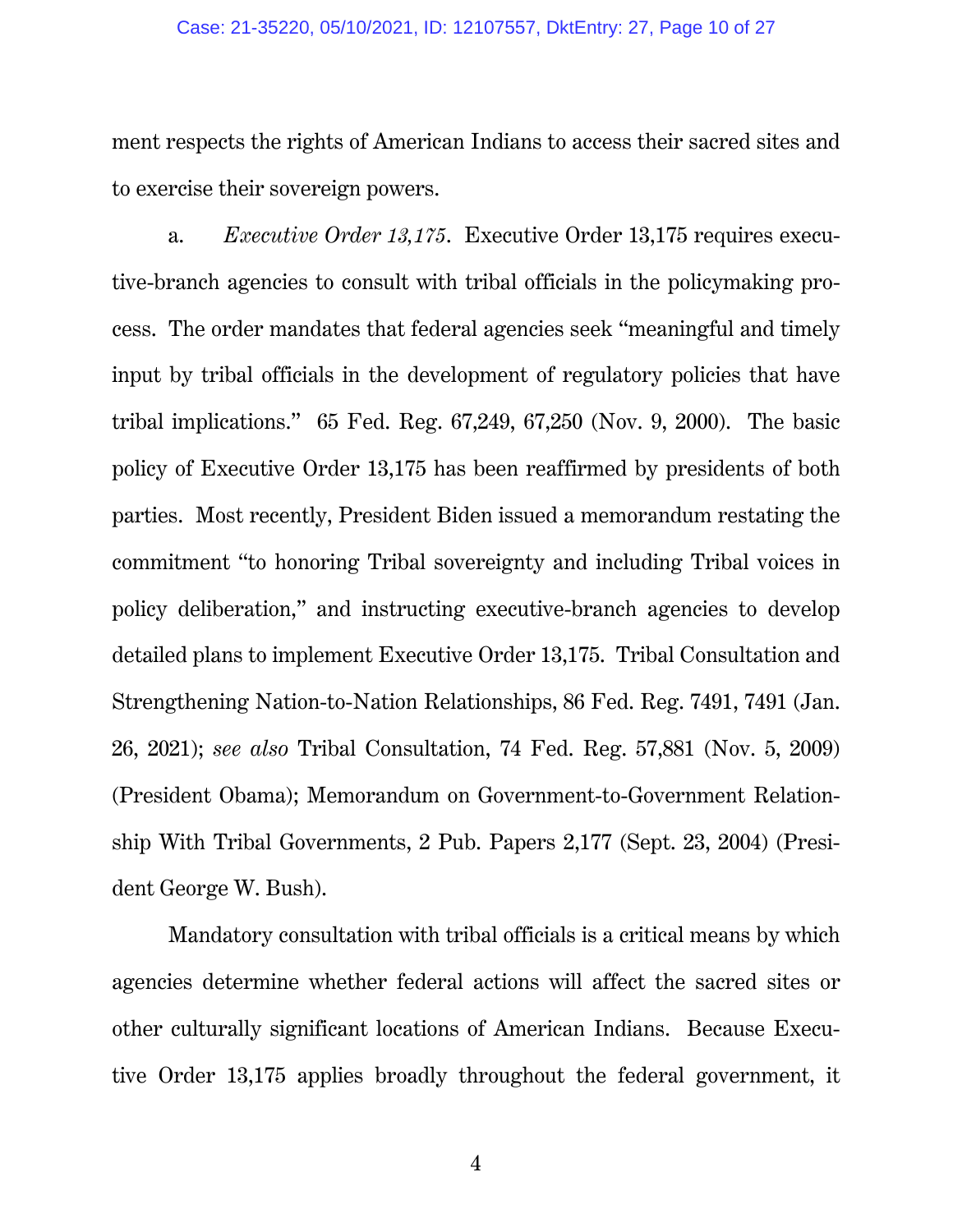#### Case: 21-35220, 05/10/2021, ID: 12107557, DktEntry: 27, Page 10 of 27

ment respects the rights of American Indians to access their sacred sites and to exercise their sovereign powers.

a. *Executive Order 13,175*. Executive Order 13,175 requires executive-branch agencies to consult with tribal officials in the policymaking process. The order mandates that federal agencies seek "meaningful and timely input by tribal officials in the development of regulatory policies that have tribal implications." 65 Fed. Reg. 67,249, 67,250 (Nov. 9, 2000). The basic policy of Executive Order 13,175 has been reaffirmed by presidents of both parties. Most recently, President Biden issued a memorandum restating the commitment "to honoring Tribal sovereignty and including Tribal voices in policy deliberation," and instructing executive-branch agencies to develop detailed plans to implement Executive Order 13,175. Tribal Consultation and Strengthening Nation-to-Nation Relationships, 86 Fed. Reg. 7491, 7491 (Jan. 26, 2021); *see also* Tribal Consultation, 74 Fed. Reg. 57,881 (Nov. 5, 2009) (President Obama); Memorandum on Government-to-Government Relationship With Tribal Governments, 2 Pub. Papers 2,177 (Sept. 23, 2004) (President George W. Bush).

<span id="page-9-2"></span><span id="page-9-1"></span><span id="page-9-0"></span>Mandatory consultation with tribal officials is a critical means by which agencies determine whether federal actions will affect the sacred sites or other culturally significant locations of American Indians. Because Executive Order 13,175 applies broadly throughout the federal government, it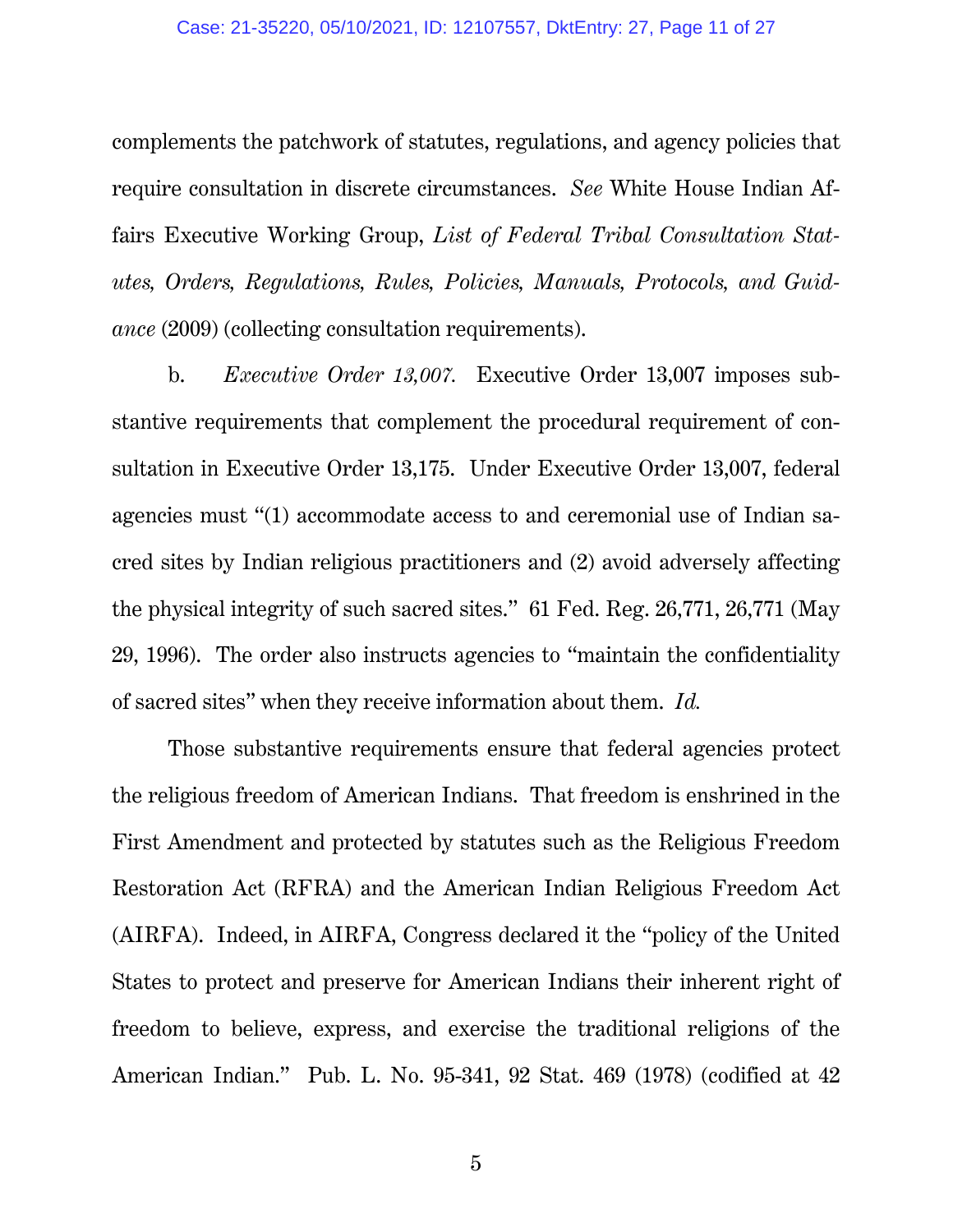#### <span id="page-10-1"></span>Case: 21-35220, 05/10/2021, ID: 12107557, DktEntry: 27, Page 11 of 27

complements the patchwork of statutes, regulations, and agency policies that require consultation in discrete circumstances. *See* White House Indian Affairs Executive Working Group, *List of Federal Tribal Consultation Statutes, Orders, Regulations, Rules, Policies, Manuals, Protocols, and Guidance* (2009) (collecting consultation requirements).

b. *Executive Order 13,007.* Executive Order 13,007 imposes substantive requirements that complement the procedural requirement of consultation in Executive Order 13,175. Under Executive Order 13,007, federal agencies must "(1) accommodate access to and ceremonial use of Indian sacred sites by Indian religious practitioners and (2) avoid adversely affecting the physical integrity of such sacred sites." 61 Fed. Reg. 26,771, 26,771 (May 29, 1996). The order also instructs agencies to "maintain the confidentiality of sacred sites" when they receive information about them. *Id.*

<span id="page-10-0"></span>Those substantive requirements ensure that federal agencies protect the religious freedom of American Indians. That freedom is enshrined in the First Amendment and protected by statutes such as the Religious Freedom Restoration Act (RFRA) and the American Indian Religious Freedom Act (AIRFA). Indeed, in AIRFA, Congress declared it the "policy of the United States to protect and preserve for American Indians their inherent right of freedom to believe, express, and exercise the traditional religions of the American Indian." Pub. L. No. 95-341, 92 Stat. 469 (1978) (codified at 42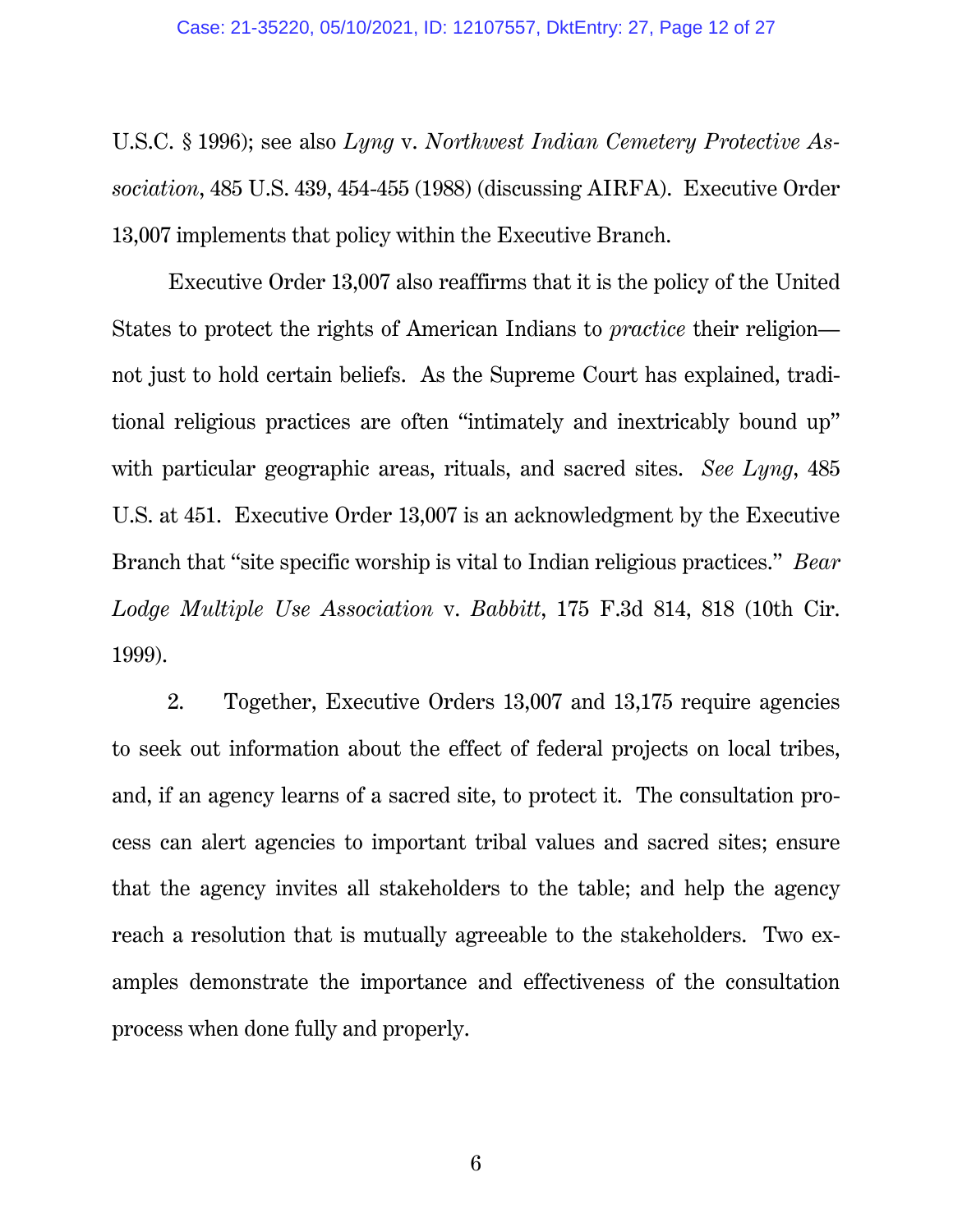<span id="page-11-1"></span>U.S.C. § 1996); see also *Lyng* v. *Northwest Indian Cemetery Protective Association*, 485 U.S. 439, 454-455 (1988) (discussing AIRFA). Executive Order 13,007 implements that policy within the Executive Branch.

Executive Order 13,007 also reaffirms that it is the policy of the United States to protect the rights of American Indians to *practice* their religion not just to hold certain beliefs. As the Supreme Court has explained, traditional religious practices are often "intimately and inextricably bound up" with particular geographic areas, rituals, and sacred sites. *See Lyng*, 485 U.S. at 451. Executive Order 13,007 is an acknowledgment by the Executive Branch that "site specific worship is vital to Indian religious practices." *Bear Lodge Multiple Use Association* v. *Babbitt*, 175 F.3d 814, 818 (10th Cir. 1999).

<span id="page-11-0"></span>2. Together, Executive Orders 13,007 and 13,175 require agencies to seek out information about the effect of federal projects on local tribes, and, if an agency learns of a sacred site, to protect it. The consultation process can alert agencies to important tribal values and sacred sites; ensure that the agency invites all stakeholders to the table; and help the agency reach a resolution that is mutually agreeable to the stakeholders. Two examples demonstrate the importance and effectiveness of the consultation process when done fully and properly.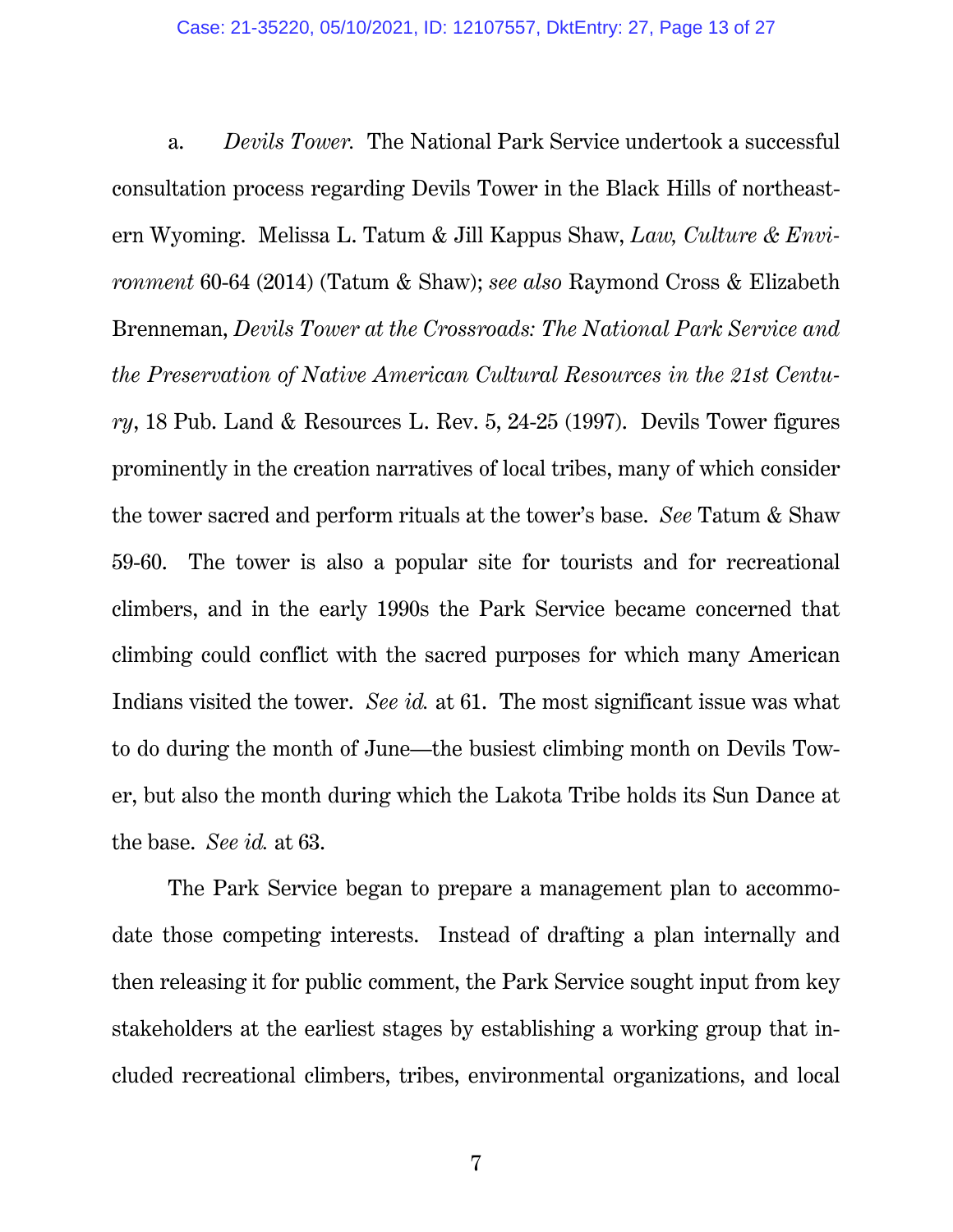<span id="page-12-1"></span><span id="page-12-0"></span>a. *Devils Tower.* The National Park Service undertook a successful consultation process regarding Devils Tower in the Black Hills of northeastern Wyoming. Melissa L. Tatum & Jill Kappus Shaw, *Law, Culture & Environment* 60-64 (2014) (Tatum & Shaw); *see also* Raymond Cross & Elizabeth Brenneman, *Devils Tower at the Crossroads: The National Park Service and the Preservation of Native American Cultural Resources in the 21st Century*, 18 Pub. Land & Resources L. Rev. 5, 24-25 (1997). Devils Tower figures prominently in the creation narratives of local tribes, many of which consider the tower sacred and perform rituals at the tower's base. *See* Tatum & Shaw 59-60. The tower is also a popular site for tourists and for recreational climbers, and in the early 1990s the Park Service became concerned that climbing could conflict with the sacred purposes for which many American Indians visited the tower. *See id.* at 61. The most significant issue was what to do during the month of June—the busiest climbing month on Devils Tower, but also the month during which the Lakota Tribe holds its Sun Dance at the base. *See id.* at 63.

The Park Service began to prepare a management plan to accommodate those competing interests. Instead of drafting a plan internally and then releasing it for public comment, the Park Service sought input from key stakeholders at the earliest stages by establishing a working group that included recreational climbers, tribes, environmental organizations, and local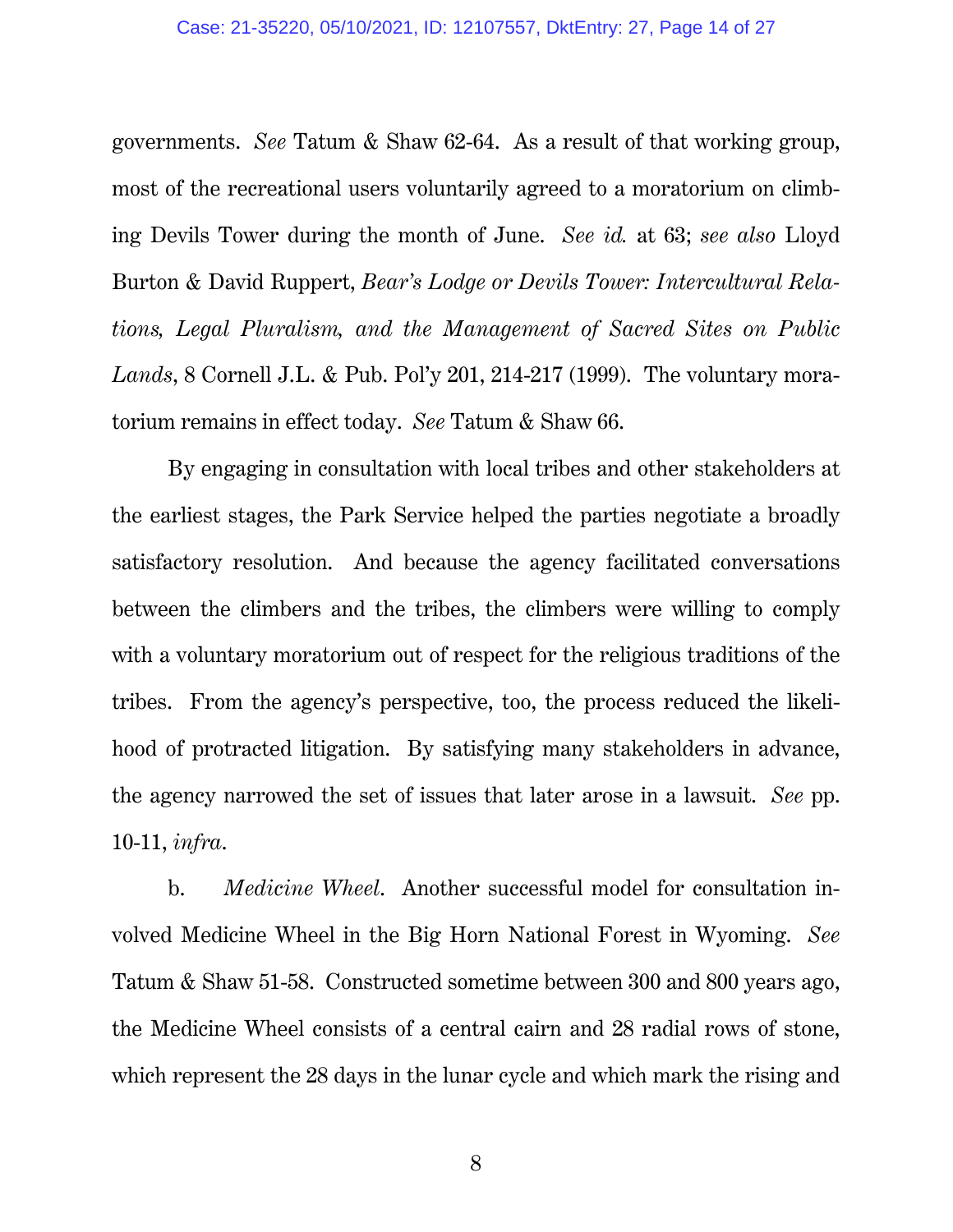<span id="page-13-0"></span>governments. *See* Tatum & Shaw 62-64. As a result of that working group, most of the recreational users voluntarily agreed to a moratorium on climbing Devils Tower during the month of June. *See id.* at 63; *see also* Lloyd Burton & David Ruppert, *Bear's Lodge or Devils Tower: Intercultural Relations, Legal Pluralism, and the Management of Sacred Sites on Public Lands*, 8 Cornell J.L. & Pub. Pol'y 201, 214-217 (1999). The voluntary moratorium remains in effect today. *See* Tatum & Shaw 66.

By engaging in consultation with local tribes and other stakeholders at the earliest stages, the Park Service helped the parties negotiate a broadly satisfactory resolution. And because the agency facilitated conversations between the climbers and the tribes, the climbers were willing to comply with a voluntary moratorium out of respect for the religious traditions of the tribes. From the agency's perspective, too, the process reduced the likelihood of protracted litigation. By satisfying many stakeholders in advance, the agency narrowed the set of issues that later arose in a lawsuit. *See* pp. 10-11, *infra*.

b. *Medicine Wheel*.Another successful model for consultation involved Medicine Wheel in the Big Horn National Forest in Wyoming. *See* Tatum & Shaw 51-58. Constructed sometime between 300 and 800 years ago, the Medicine Wheel consists of a central cairn and 28 radial rows of stone, which represent the 28 days in the lunar cycle and which mark the rising and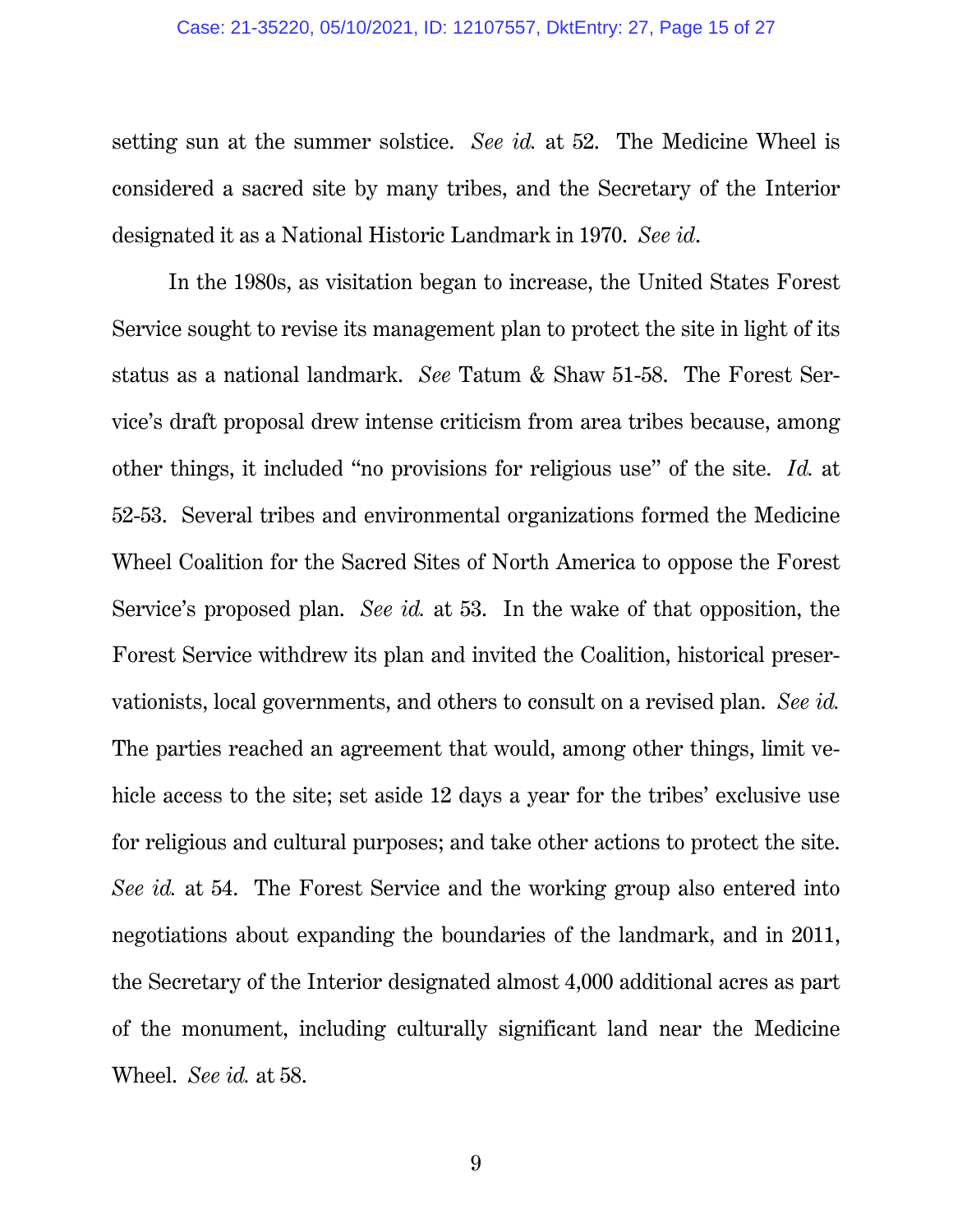#### Case: 21-35220, 05/10/2021, ID: 12107557, DktEntry: 27, Page 15 of 27

setting sun at the summer solstice. *See id.* at 52. The Medicine Wheel is considered a sacred site by many tribes, and the Secretary of the Interior designated it as a National Historic Landmark in 1970. *See id*.

In the 1980s, as visitation began to increase, the United States Forest Service sought to revise its management plan to protect the site in light of its status as a national landmark. *See* Tatum & Shaw 51-58. The Forest Service's draft proposal drew intense criticism from area tribes because, among other things, it included "no provisions for religious use" of the site. *Id.* at 52-53. Several tribes and environmental organizations formed the Medicine Wheel Coalition for the Sacred Sites of North America to oppose the Forest Service's proposed plan. *See id.* at 53. In the wake of that opposition, the Forest Service withdrew its plan and invited the Coalition, historical preservationists, local governments, and others to consult on a revised plan. *See id.*  The parties reached an agreement that would, among other things, limit vehicle access to the site; set aside 12 days a year for the tribes' exclusive use for religious and cultural purposes; and take other actions to protect the site. *See id.* at 54. The Forest Service and the working group also entered into negotiations about expanding the boundaries of the landmark, and in 2011, the Secretary of the Interior designated almost 4,000 additional acres as part of the monument, including culturally significant land near the Medicine Wheel. *See id.* at 58.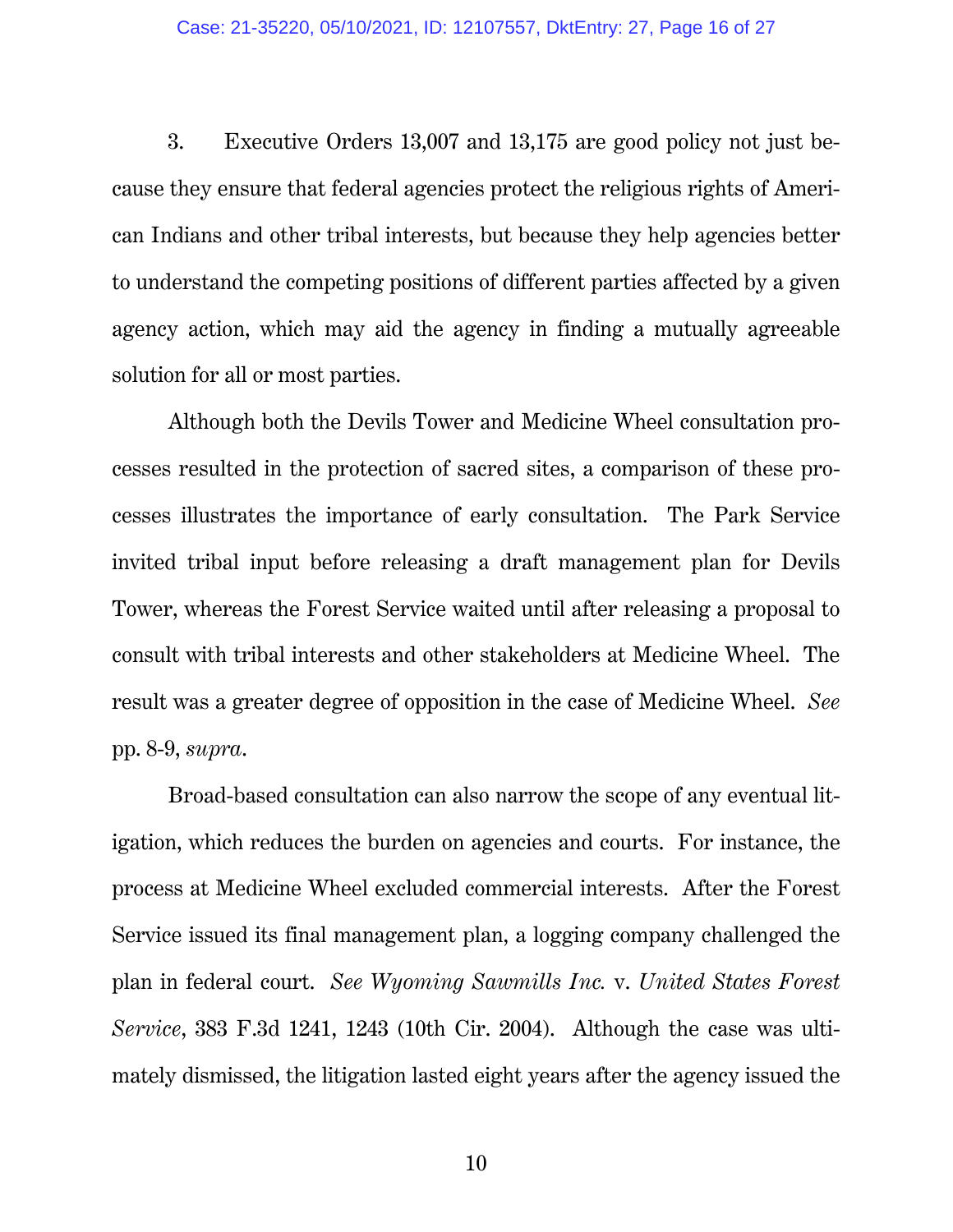3. Executive Orders 13,007 and 13,175 are good policy not just because they ensure that federal agencies protect the religious rights of American Indians and other tribal interests, but because they help agencies better to understand the competing positions of different parties affected by a given agency action, which may aid the agency in finding a mutually agreeable solution for all or most parties.

Although both the Devils Tower and Medicine Wheel consultation processes resulted in the protection of sacred sites, a comparison of these processes illustrates the importance of early consultation. The Park Service invited tribal input before releasing a draft management plan for Devils Tower, whereas the Forest Service waited until after releasing a proposal to consult with tribal interests and other stakeholders at Medicine Wheel. The result was a greater degree of opposition in the case of Medicine Wheel. *See*  pp. 8-9, *supra*.

<span id="page-15-0"></span>Broad-based consultation can also narrow the scope of any eventual litigation, which reduces the burden on agencies and courts. For instance, the process at Medicine Wheel excluded commercial interests. After the Forest Service issued its final management plan, a logging company challenged the plan in federal court. *See Wyoming Sawmills Inc.* v. *United States Forest Service*, 383 F.3d 1241, 1243 (10th Cir. 2004). Although the case was ultimately dismissed, the litigation lasted eight years after the agency issued the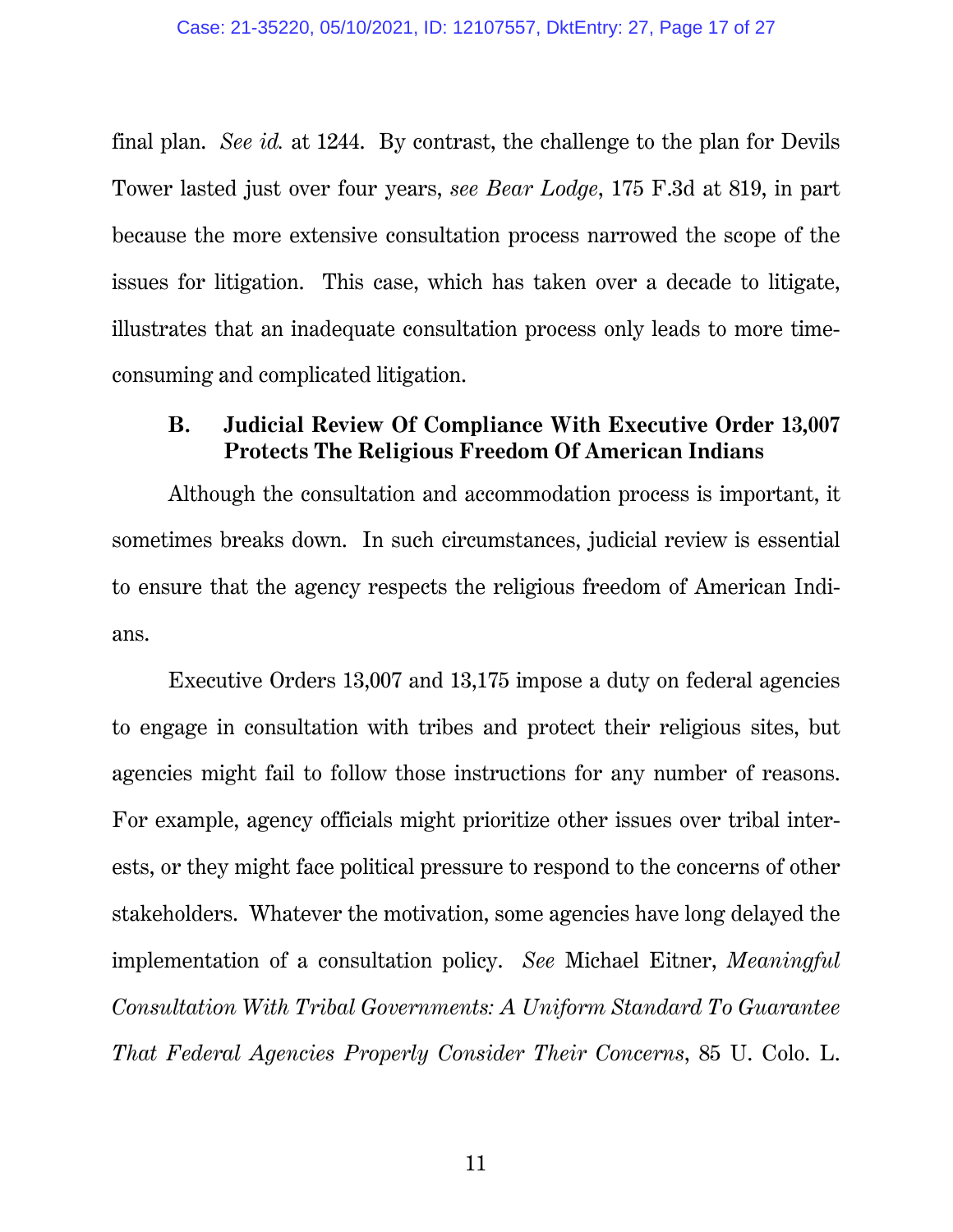<span id="page-16-0"></span>final plan. *See id.* at 1244. By contrast, the challenge to the plan for Devils Tower lasted just over four years, *see Bear Lodge*, 175 F.3d at 819, in part because the more extensive consultation process narrowed the scope of the issues for litigation. This case, which has taken over a decade to litigate, illustrates that an inadequate consultation process only leads to more timeconsuming and complicated litigation.

### **B. Judicial Review Of Compliance With Executive Order 13,007 Protects The Religious Freedom Of American Indians**

Although the consultation and accommodation process is important, it sometimes breaks down. In such circumstances, judicial review is essential to ensure that the agency respects the religious freedom of American Indians.

<span id="page-16-1"></span>Executive Orders 13,007 and 13,175 impose a duty on federal agencies to engage in consultation with tribes and protect their religious sites, but agencies might fail to follow those instructions for any number of reasons. For example, agency officials might prioritize other issues over tribal interests, or they might face political pressure to respond to the concerns of other stakeholders. Whatever the motivation, some agencies have long delayed the implementation of a consultation policy. *See* Michael Eitner, *Meaningful Consultation With Tribal Governments: A Uniform Standard To Guarantee That Federal Agencies Properly Consider Their Concerns*, 85 U. Colo. L.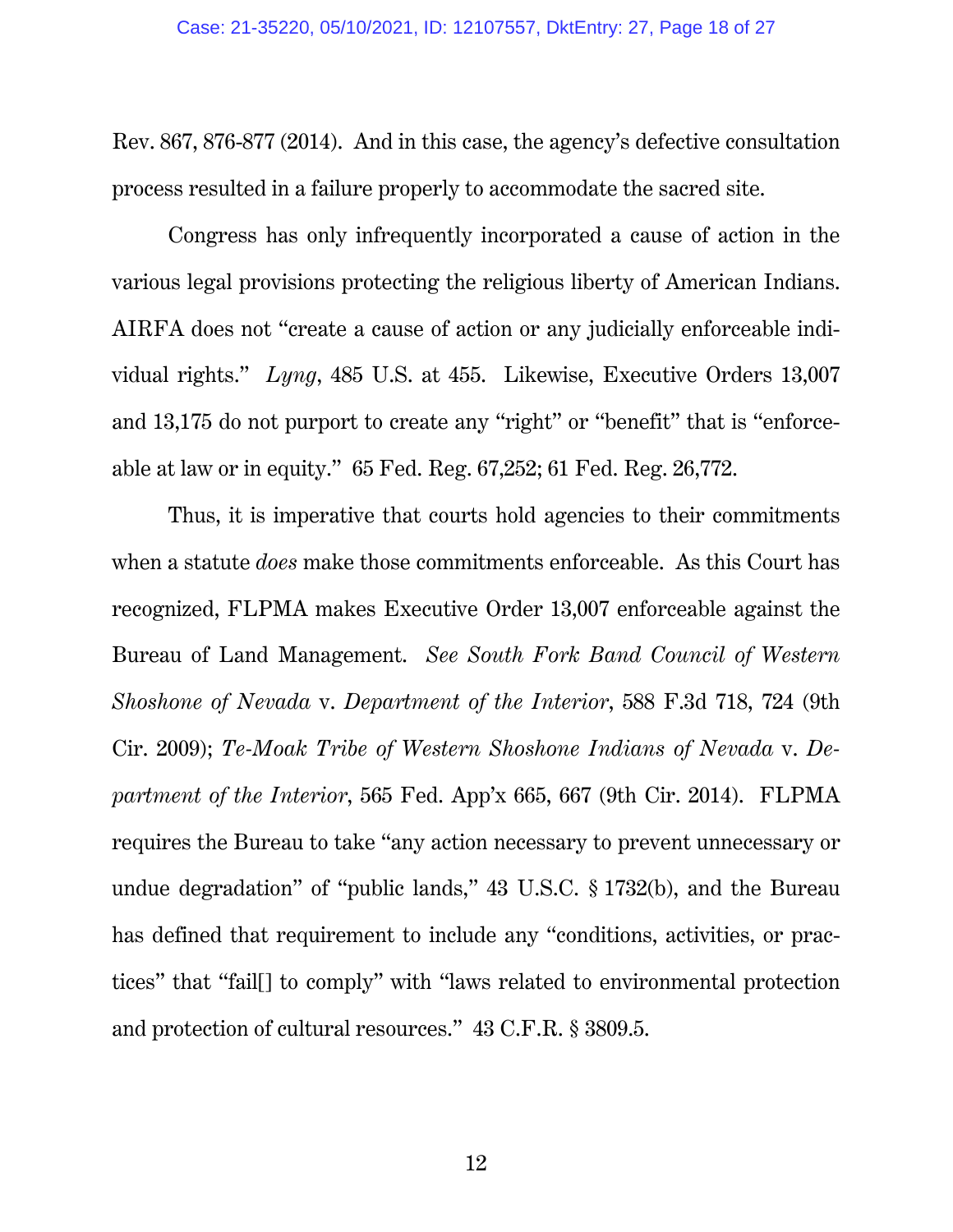Rev. 867, 876-877 (2014). And in this case, the agency's defective consultation process resulted in a failure properly to accommodate the sacred site.

<span id="page-17-0"></span>Congress has only infrequently incorporated a cause of action in the various legal provisions protecting the religious liberty of American Indians. AIRFA does not "create a cause of action or any judicially enforceable individual rights." *Lyng*, 485 U.S. at 455. Likewise, Executive Orders 13,007 and 13,175 do not purport to create any "right" or "benefit" that is "enforceable at law or in equity." 65 Fed. Reg. 67,252; 61 Fed. Reg. 26,772.

<span id="page-17-4"></span><span id="page-17-3"></span><span id="page-17-2"></span><span id="page-17-1"></span>Thus, it is imperative that courts hold agencies to their commitments when a statute *does* make those commitments enforceable. As this Court has recognized, FLPMA makes Executive Order 13,007 enforceable against the Bureau of Land Management. *See South Fork Band Council of Western Shoshone of Nevada* v. *Department of the Interior*, 588 F.3d 718, 724 (9th Cir. 2009); *Te-Moak Tribe of Western Shoshone Indians of Nevada* v. *Department of the Interior*, 565 Fed. App'x 665, 667 (9th Cir. 2014). FLPMA requires the Bureau to take "any action necessary to prevent unnecessary or undue degradation" of "public lands," 43 U.S.C. § 1732(b), and the Bureau has defined that requirement to include any "conditions, activities, or practices" that "fail[] to comply" with "laws related to environmental protection and protection of cultural resources." 43 C.F.R. § 3809.5.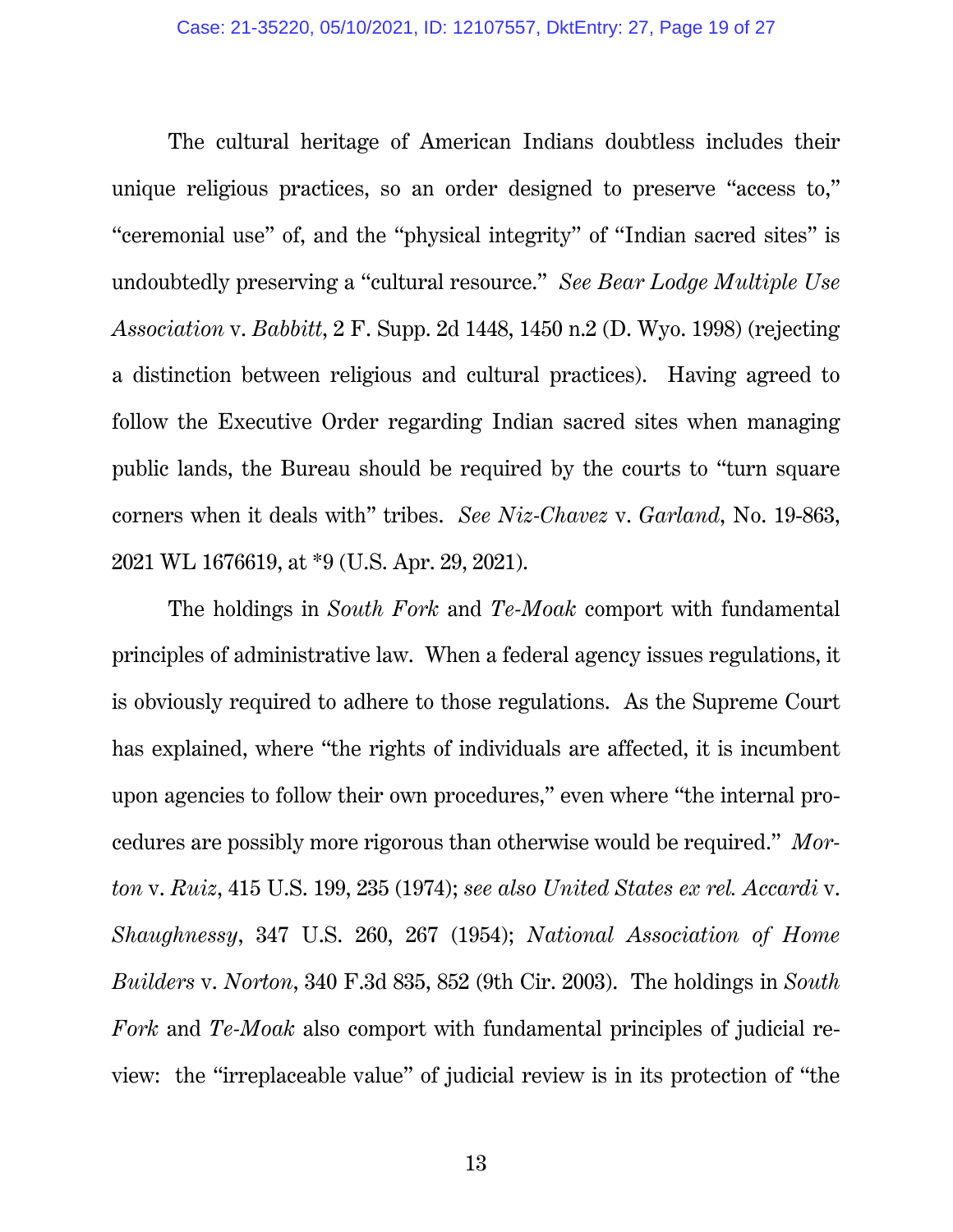<span id="page-18-1"></span>The cultural heritage of American Indians doubtless includes their unique religious practices, so an order designed to preserve "access to," "ceremonial use" of, and the "physical integrity" of "Indian sacred sites" is undoubtedly preserving a "cultural resource." *See Bear Lodge Multiple Use Association* v. *Babbitt*, 2 F. Supp. 2d 1448, 1450 n.2 (D. Wyo. 1998) (rejecting a distinction between religious and cultural practices). Having agreed to follow the Executive Order regarding Indian sacred sites when managing public lands, the Bureau should be required by the courts to "turn square corners when it deals with" tribes. *See Niz-Chavez* v. *Garland*, No. 19-863, 2021 WL 1676619, at \*9 (U.S. Apr. 29, 2021).

<span id="page-18-4"></span><span id="page-18-3"></span><span id="page-18-2"></span><span id="page-18-0"></span>The holdings in *South Fork* and *Te-Moak* comport with fundamental principles of administrative law. When a federal agency issues regulations, it is obviously required to adhere to those regulations. As the Supreme Court has explained, where "the rights of individuals are affected, it is incumbent upon agencies to follow their own procedures," even where "the internal procedures are possibly more rigorous than otherwise would be required." *Morton* v. *Ruiz*, 415 U.S. 199, 235 (1974); *see also United States ex rel. Accardi* v. *Shaughnessy*, 347 U.S. 260, 267 (1954); *National Association of Home Builders* v. *Norton*, 340 F.3d 835, 852 (9th Cir. 2003). The holdings in *South Fork* and *Te-Moak* also comport with fundamental principles of judicial review: the "irreplaceable value" of judicial review is in its protection of "the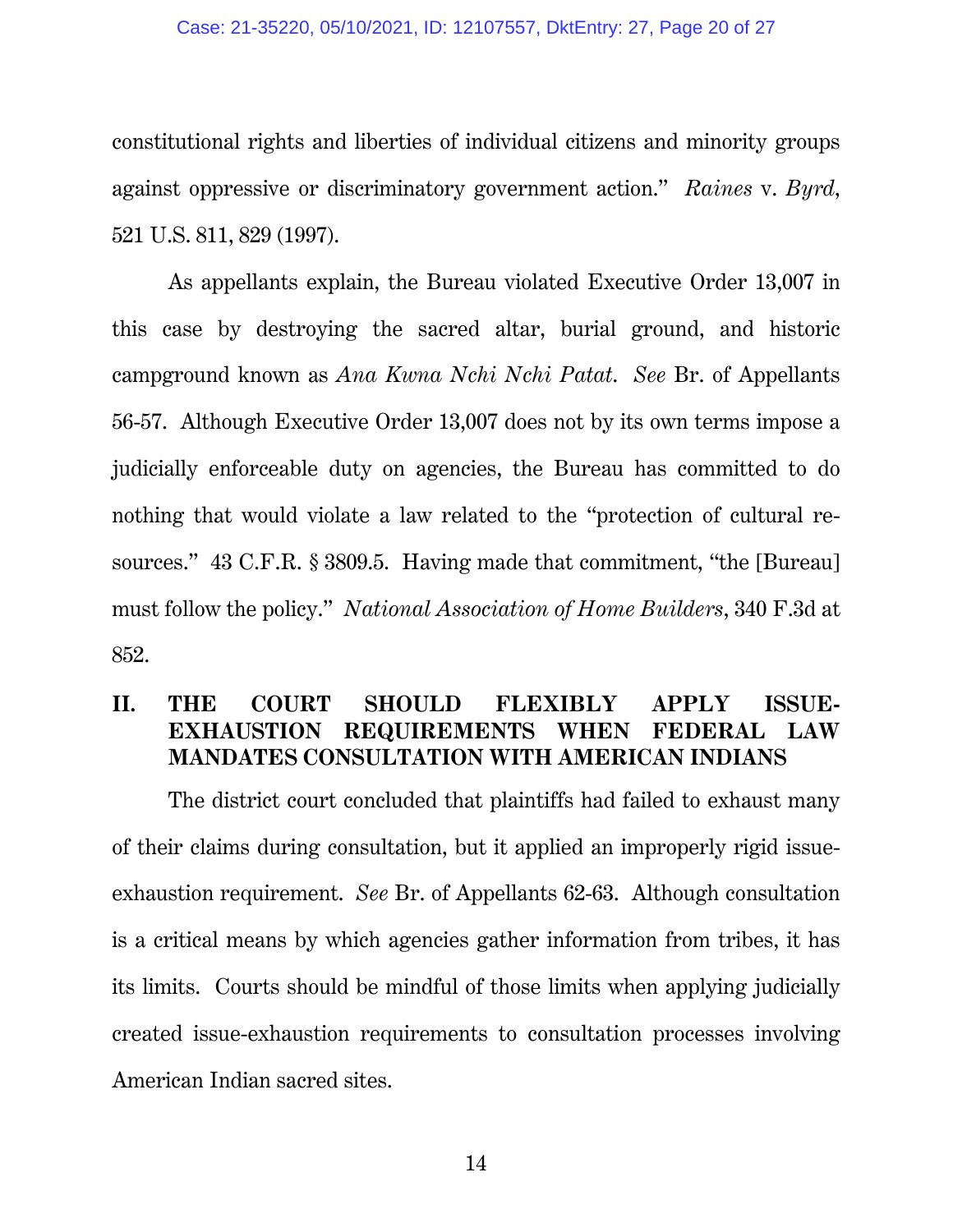#### <span id="page-19-1"></span>Case: 21-35220, 05/10/2021, ID: 12107557, DktEntry: 27, Page 20 of 27

constitutional rights and liberties of individual citizens and minority groups against oppressive or discriminatory government action." *Raines* v. *Byrd*, 521 U.S. 811, 829 (1997).

As appellants explain, the Bureau violated Executive Order 13,007 in this case by destroying the sacred altar, burial ground, and historic campground known as *Ana Kwna Nchi Nchi Patat*. *See* Br. of Appellants 56-57. Although Executive Order 13,007 does not by its own terms impose a judicially enforceable duty on agencies, the Bureau has committed to do nothing that would violate a law related to the "protection of cultural resources." 43 C.F.R. § 3809.5. Having made that commitment, "the [Bureau] must follow the policy." *National Association of Home Builders*, 340 F.3d at 852.

### <span id="page-19-2"></span><span id="page-19-0"></span>**II. THE COURT SHOULD FLEXIBLY APPLY ISSUE-EXHAUSTION REQUIREMENTS WHEN FEDERAL LAW MANDATES CONSULTATION WITH AMERICAN INDIANS**

The district court concluded that plaintiffs had failed to exhaust many of their claims during consultation, but it applied an improperly rigid issueexhaustion requirement. *See* Br. of Appellants 62-63. Although consultation is a critical means by which agencies gather information from tribes, it has its limits. Courts should be mindful of those limits when applying judicially created issue-exhaustion requirements to consultation processes involving American Indian sacred sites.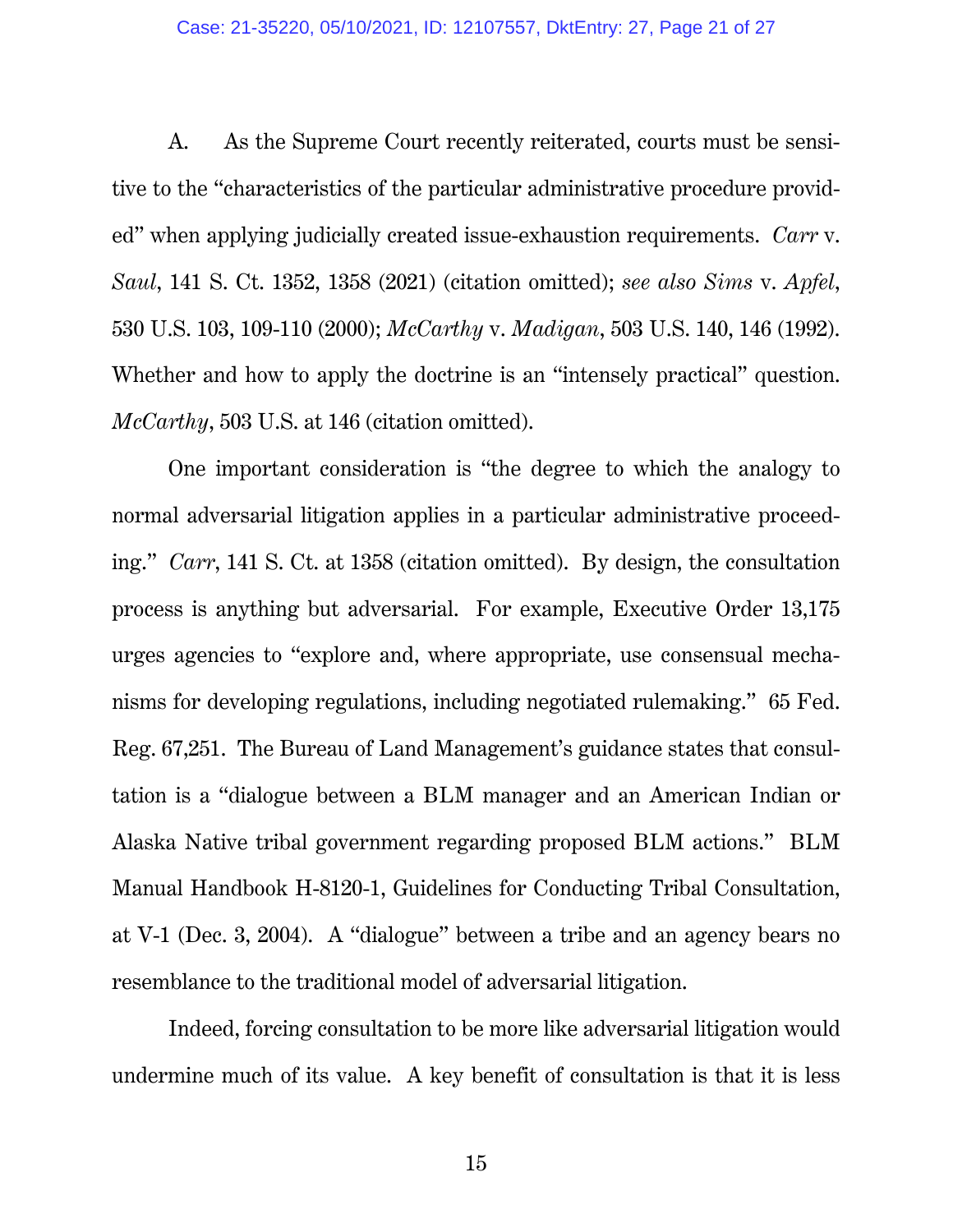#### <span id="page-20-2"></span><span id="page-20-0"></span>Case: 21-35220, 05/10/2021, ID: 12107557, DktEntry: 27, Page 21 of 27

A. As the Supreme Court recently reiterated, courts must be sensitive to the "characteristics of the particular administrative procedure provided" when applying judicially created issue-exhaustion requirements. *Carr* v. *Saul*, 141 S. Ct. 1352, 1358 (2021) (citation omitted); *see also Sims* v. *Apfel*, 530 U.S. 103, 109-110 (2000); *McCarthy* v. *Madigan*, 503 U.S. 140, 146 (1992). Whether and how to apply the doctrine is an "intensely practical" question. *McCarthy*, 503 U.S. at 146 (citation omitted).

<span id="page-20-1"></span>One important consideration is "the degree to which the analogy to normal adversarial litigation applies in a particular administrative proceeding." *Carr*, 141 S. Ct. at 1358 (citation omitted). By design, the consultation process is anything but adversarial. For example, Executive Order 13,175 urges agencies to "explore and, where appropriate, use consensual mechanisms for developing regulations, including negotiated rulemaking." 65 Fed. Reg. 67,251. The Bureau of Land Management's guidance states that consultation is a "dialogue between a BLM manager and an American Indian or Alaska Native tribal government regarding proposed BLM actions." BLM Manual Handbook H-8120-1, Guidelines for Conducting Tribal Consultation, at V-1 (Dec. 3, 2004). A "dialogue" between a tribe and an agency bears no resemblance to the traditional model of adversarial litigation.

Indeed, forcing consultation to be more like adversarial litigation would undermine much of its value. A key benefit of consultation is that it is less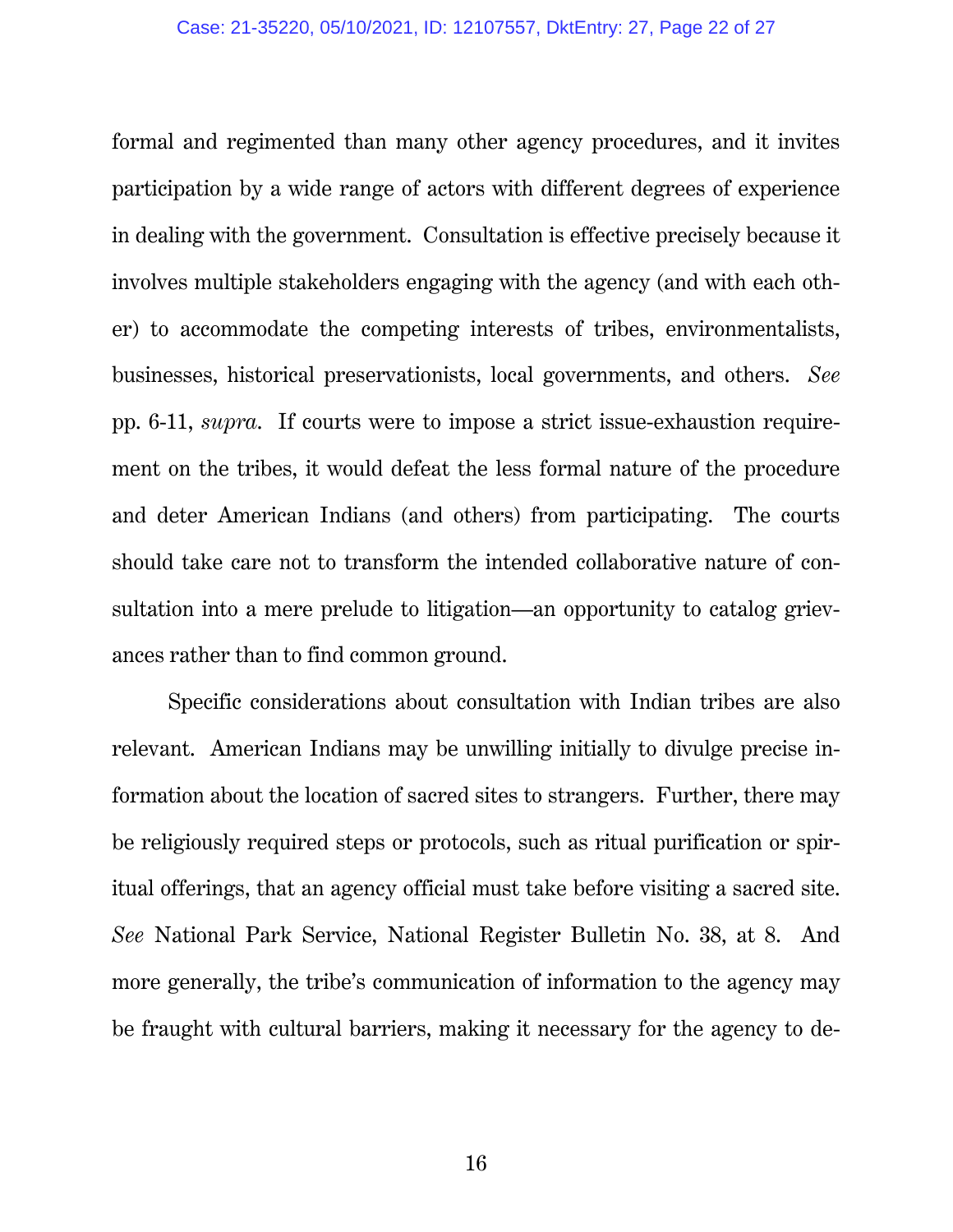formal and regimented than many other agency procedures, and it invites participation by a wide range of actors with different degrees of experience in dealing with the government. Consultation is effective precisely because it involves multiple stakeholders engaging with the agency (and with each other) to accommodate the competing interests of tribes, environmentalists, businesses, historical preservationists, local governments, and others. *See*  pp. 6-11, *supra*. If courts were to impose a strict issue-exhaustion requirement on the tribes, it would defeat the less formal nature of the procedure and deter American Indians (and others) from participating. The courts should take care not to transform the intended collaborative nature of consultation into a mere prelude to litigation—an opportunity to catalog grievances rather than to find common ground.

Specific considerations about consultation with Indian tribes are also relevant. American Indians may be unwilling initially to divulge precise information about the location of sacred sites to strangers. Further, there may be religiously required steps or protocols, such as ritual purification or spiritual offerings, that an agency official must take before visiting a sacred site. *See* National Park Service, National Register Bulletin No. 38, at 8. And more generally, the tribe's communication of information to the agency may be fraught with cultural barriers, making it necessary for the agency to de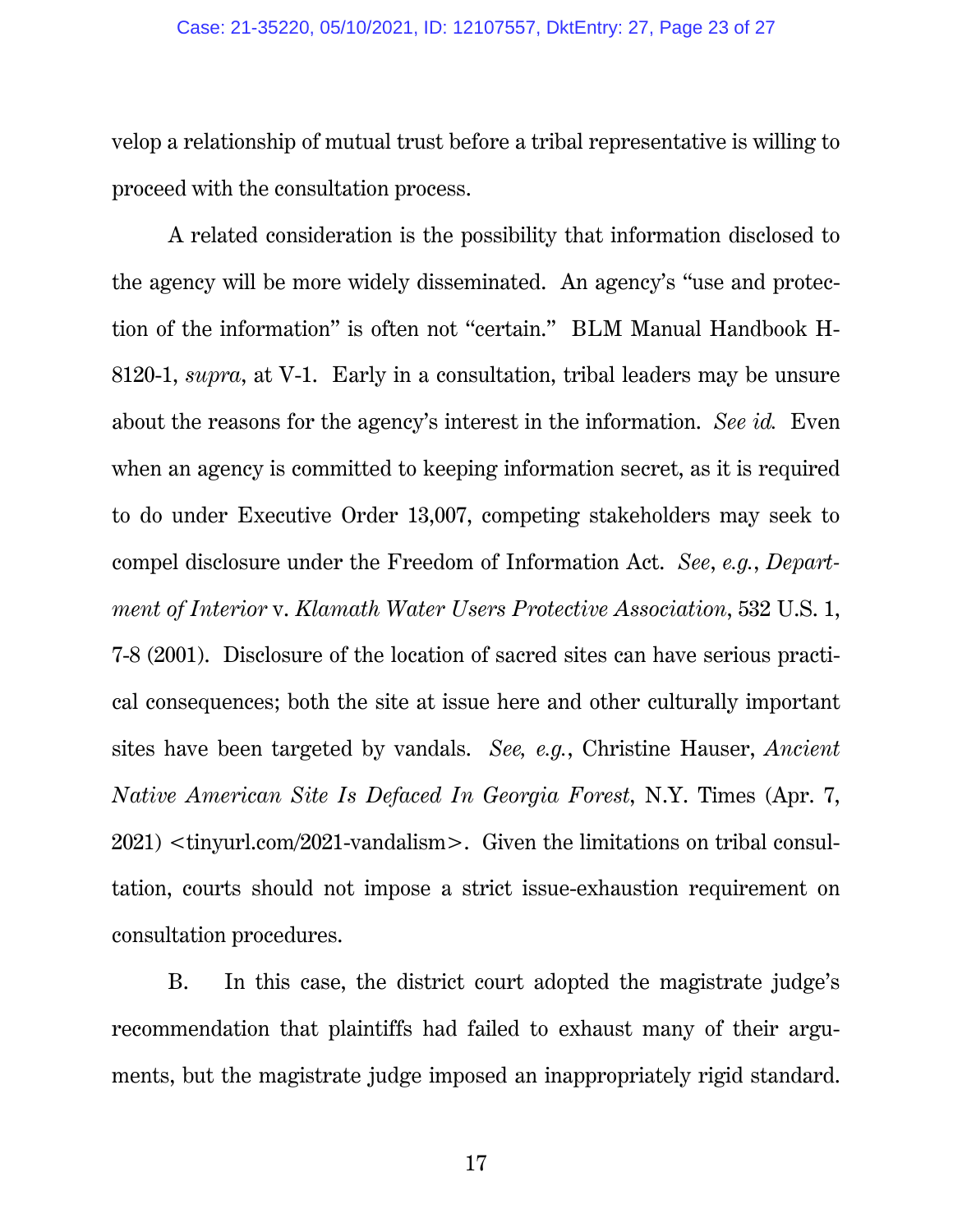velop a relationship of mutual trust before a tribal representative is willing to proceed with the consultation process.

<span id="page-22-0"></span>A related consideration is the possibility that information disclosed to the agency will be more widely disseminated. An agency's "use and protection of the information" is often not "certain." BLM Manual Handbook H-8120-1, *supra*, at V-1. Early in a consultation, tribal leaders may be unsure about the reasons for the agency's interest in the information. *See id.* Even when an agency is committed to keeping information secret, as it is required to do under Executive Order 13,007, competing stakeholders may seek to compel disclosure under the Freedom of Information Act. *See*, *e.g.*, *Department of Interior* v. *Klamath Water Users Protective Association*, 532 U.S. 1, 7-8 (2001). Disclosure of the location of sacred sites can have serious practical consequences; both the site at issue here and other culturally important sites have been targeted by vandals. *See, e.g.*, Christine Hauser, *Ancient Native American Site Is Defaced In Georgia Forest*, N.Y. Times (Apr. 7, 2021) <tinyurl.com/2021-vandalism>. Given the limitations on tribal consultation, courts should not impose a strict issue-exhaustion requirement on consultation procedures.

<span id="page-22-1"></span>B. In this case, the district court adopted the magistrate judge's recommendation that plaintiffs had failed to exhaust many of their arguments, but the magistrate judge imposed an inappropriately rigid standard.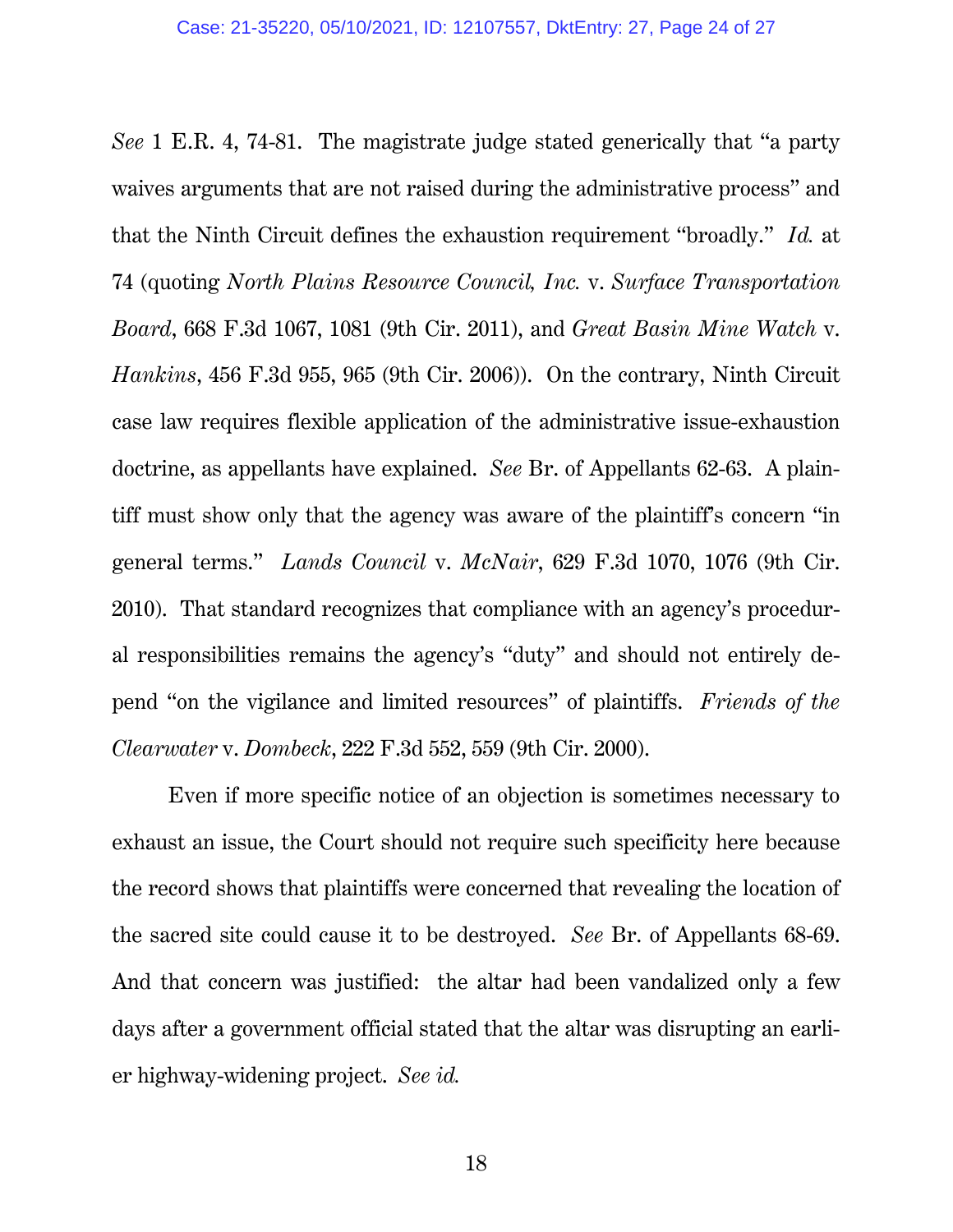*See* 1 E.R. 4, 74-81. The magistrate judge stated generically that "a party waives arguments that are not raised during the administrative process" and that the Ninth Circuit defines the exhaustion requirement "broadly." *Id.* at 74 (quoting *North Plains Resource Council, Inc.* v. *Surface Transportation Board*, 668 F.3d 1067, 1081 (9th Cir. 2011), and *Great Basin Mine Watch* v. *Hankins*, 456 F.3d 955, 965 (9th Cir. 2006)). On the contrary, Ninth Circuit case law requires flexible application of the administrative issue-exhaustion doctrine, as appellants have explained. *See* Br. of Appellants 62-63. A plaintiff must show only that the agency was aware of the plaintiff's concern "in general terms." *Lands Council* v. *McNair*, 629 F.3d 1070, 1076 (9th Cir. 2010). That standard recognizes that compliance with an agency's procedural responsibilities remains the agency's "duty" and should not entirely depend "on the vigilance and limited resources" of plaintiffs. *Friends of the Clearwater* v. *Dombeck*, 222 F.3d 552, 559 (9th Cir. 2000).

<span id="page-23-1"></span><span id="page-23-0"></span>Even if more specific notice of an objection is sometimes necessary to exhaust an issue, the Court should not require such specificity here because the record shows that plaintiffs were concerned that revealing the location of the sacred site could cause it to be destroyed. *See* Br. of Appellants 68-69. And that concern was justified: the altar had been vandalized only a few days after a government official stated that the altar was disrupting an earlier highway-widening project. *See id.*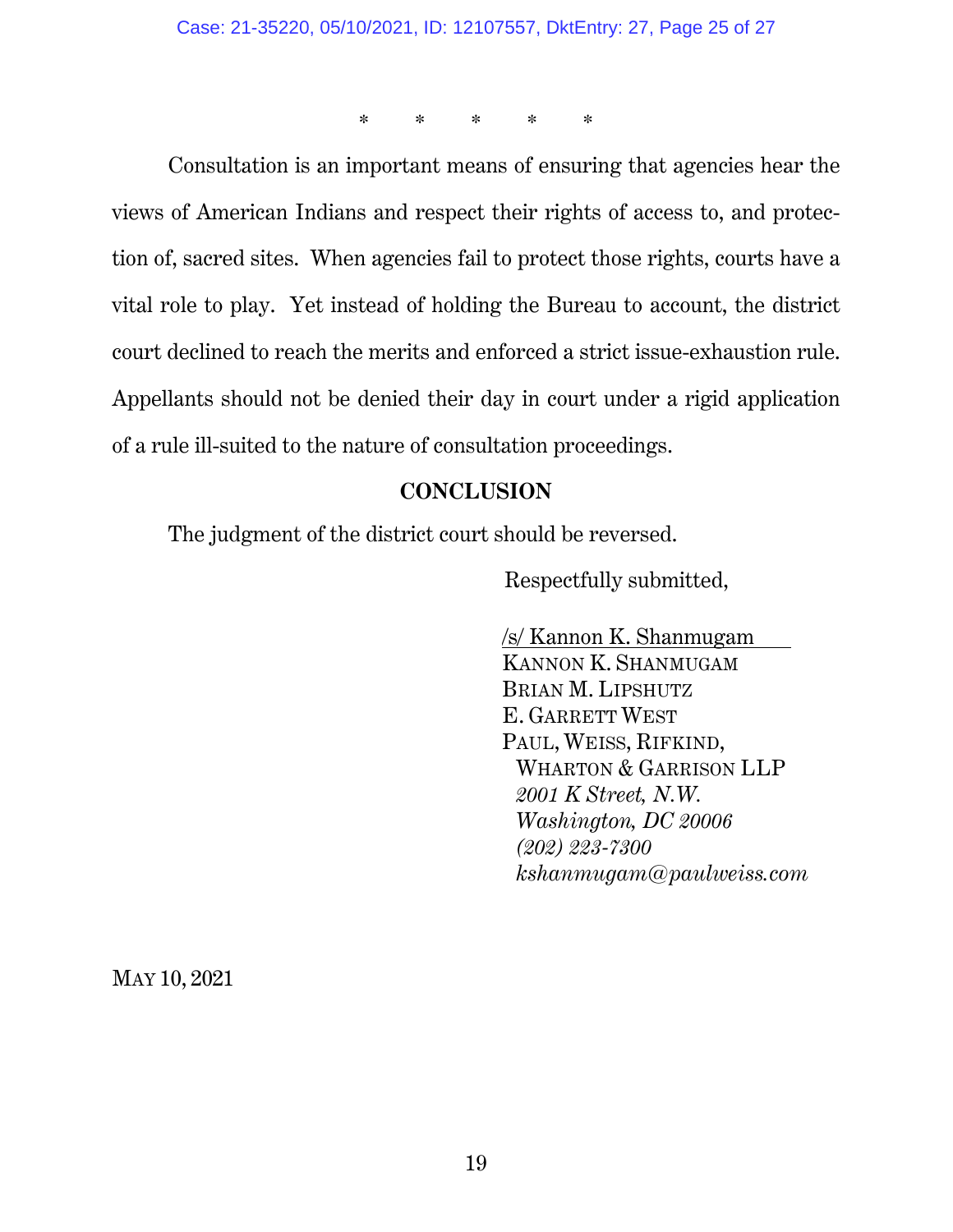\* \* \* \* \*

Consultation is an important means of ensuring that agencies hear the views of American Indians and respect their rights of access to, and protection of, sacred sites. When agencies fail to protect those rights, courts have a vital role to play. Yet instead of holding the Bureau to account, the district court declined to reach the merits and enforced a strict issue-exhaustion rule. Appellants should not be denied their day in court under a rigid application of a rule ill-suited to the nature of consultation proceedings.

### **CONCLUSION**

The judgment of the district court should be reversed.

Respectfully submitted,

/s/ Kannon K. Shanmugam KANNON K. SHANMUGAM BRIAN M. LIPSHUTZ E. GARRETT WEST PAUL, WEISS, RIFKIND, WHARTON & GARRISON LLP *2001 K Street, N.W. Washington, DC 20006 (202) 223-7300 kshanmugam@paulweiss.com*

MAY 10, 2021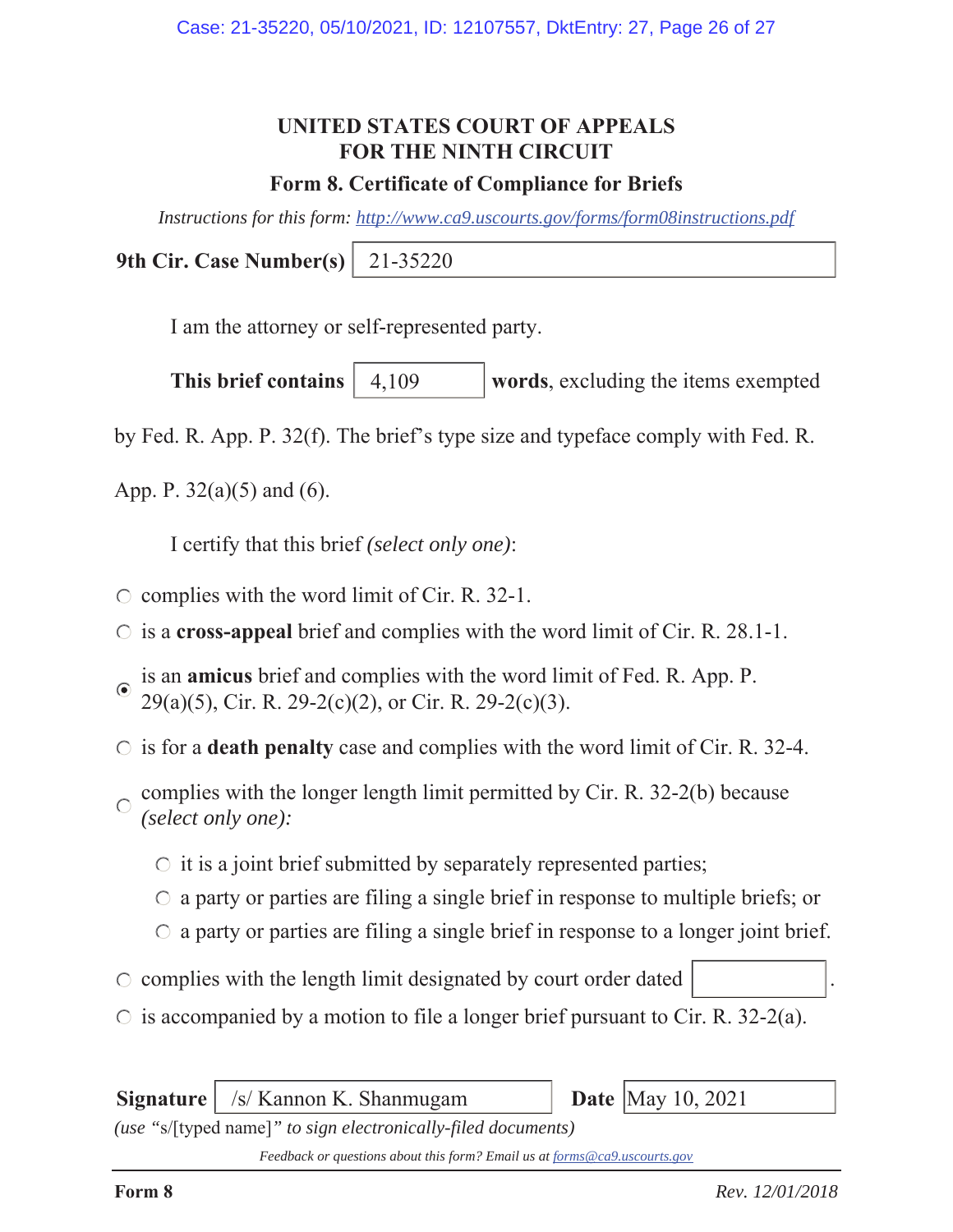## **UNITED STATES COURT OF APPEALS FOR THE NINTH CIRCUIT**

### **Form 8. Certificate of Compliance for Briefs**

*Instructions for this form: http://www.ca9.uscourts.gov/forms/form08instructions.pdf*

**9th Cir. Case Number(s)** 21-35220

I am the attorney or self-represented party.

**This brief contains** | 4,109 words, excluding the items exempted 4,109

by Fed. R. App. P. 32(f). The brief's type size and typeface comply with Fed. R.

App. P.  $32(a)(5)$  and (6).

I certify that this brief *(select only one)*:

- $\circ$  complies with the word limit of Cir. R. 32-1.
- is a **cross-appeal** brief and complies with the word limit of Cir. R. 28.1-1.
- is an **amicus** brief and complies with the word limit of Fed. R. App. P. 29(a)(5), Cir. R. 29-2(c)(2), or Cir. R. 29-2(c)(3).
- $\circ$  is for a **death penalty** case and complies with the word limit of Cir. R. 32-4.
- complies with the longer length limit permitted by Cir. R. 32-2(b) because  $\bigcap$ *(select only one):*
	- $\circ$  it is a joint brief submitted by separately represented parties;
	- $\circ$  a party or parties are filing a single brief in response to multiple briefs; or
	- $\circ$  a party or parties are filing a single brief in response to a longer joint brief.
- $\circ$  complies with the length limit designated by court order dated
- $\circ$  is accompanied by a motion to file a longer brief pursuant to Cir. R. 32-2(a).

**Signature** | /s/ Kannon K. Shanmugam **Date** | May 10, 2021

*(use "*s/[typed name]*" to sign electronically-filed documents)*

*Feedback or questions about this form? Email us at forms@ca9.uscourts.gov*